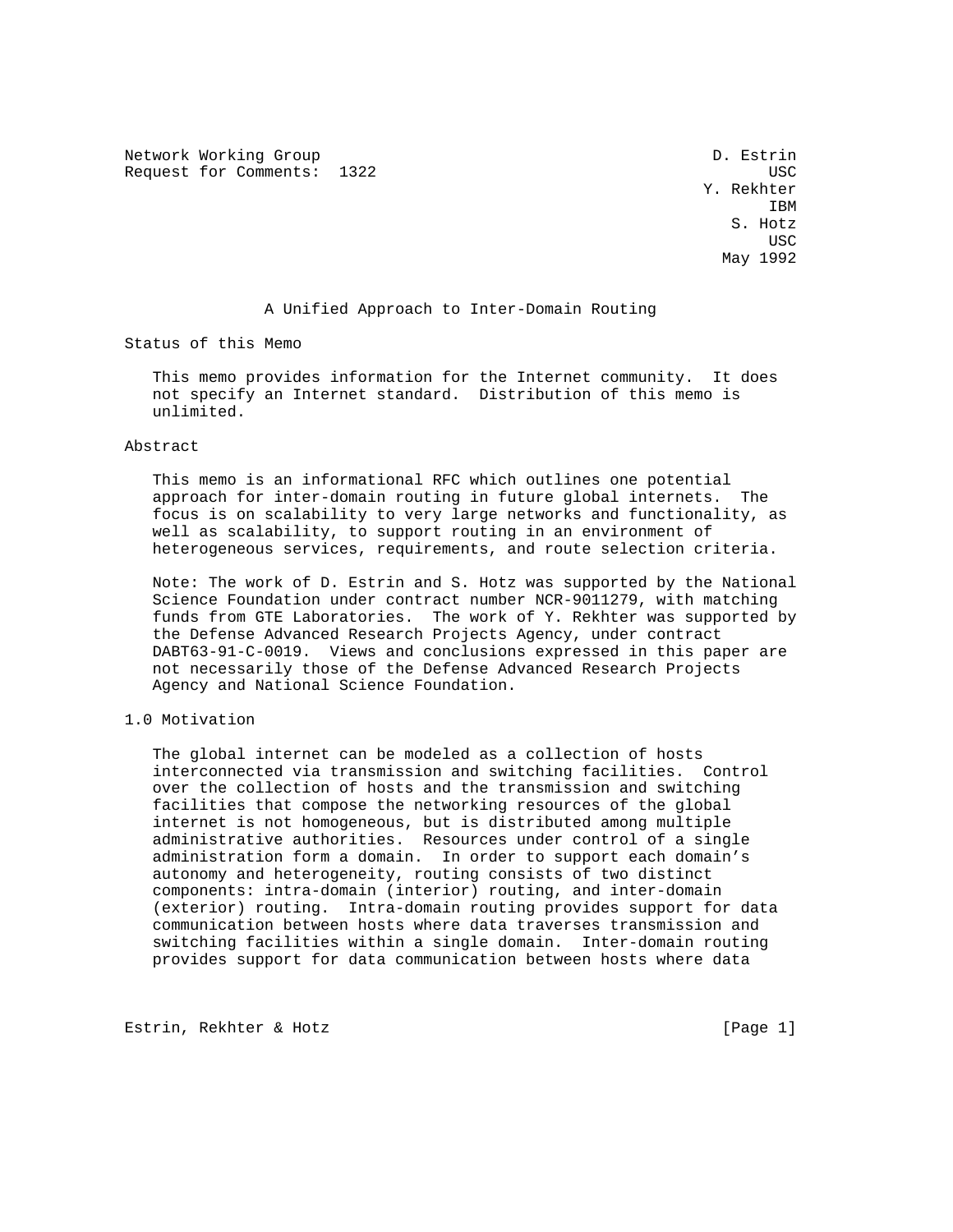Network Working Group D. Estrin Request for Comments: 1322 USC

 Y. Rekhter **IBM IBM**  S. Hotz **USC USC USC USC USC** May 1992

#### A Unified Approach to Inter-Domain Routing

Status of this Memo

 This memo provides information for the Internet community. It does not specify an Internet standard. Distribution of this memo is unlimited.

#### Abstract

 This memo is an informational RFC which outlines one potential approach for inter-domain routing in future global internets. The focus is on scalability to very large networks and functionality, as well as scalability, to support routing in an environment of heterogeneous services, requirements, and route selection criteria.

 Note: The work of D. Estrin and S. Hotz was supported by the National Science Foundation under contract number NCR-9011279, with matching funds from GTE Laboratories. The work of Y. Rekhter was supported by the Defense Advanced Research Projects Agency, under contract DABT63-91-C-0019. Views and conclusions expressed in this paper are not necessarily those of the Defense Advanced Research Projects Agency and National Science Foundation.

## 1.0 Motivation

 The global internet can be modeled as a collection of hosts interconnected via transmission and switching facilities. Control over the collection of hosts and the transmission and switching facilities that compose the networking resources of the global internet is not homogeneous, but is distributed among multiple administrative authorities. Resources under control of a single administration form a domain. In order to support each domain's autonomy and heterogeneity, routing consists of two distinct components: intra-domain (interior) routing, and inter-domain (exterior) routing. Intra-domain routing provides support for data communication between hosts where data traverses transmission and switching facilities within a single domain. Inter-domain routing provides support for data communication between hosts where data

Estrin, Rekhter & Hotz [Page 1]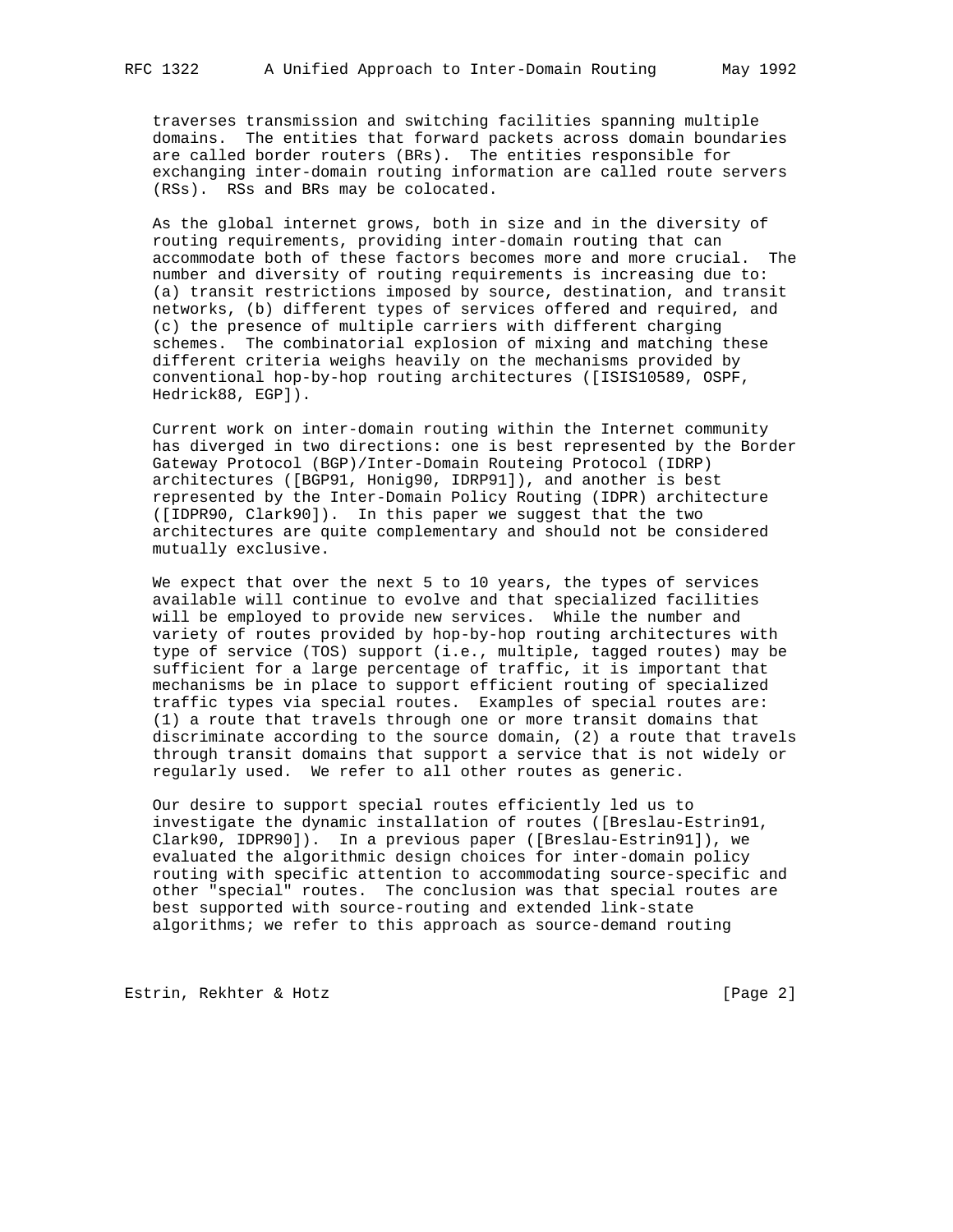traverses transmission and switching facilities spanning multiple domains. The entities that forward packets across domain boundaries are called border routers (BRs). The entities responsible for exchanging inter-domain routing information are called route servers (RSs). RSs and BRs may be colocated.

 As the global internet grows, both in size and in the diversity of routing requirements, providing inter-domain routing that can accommodate both of these factors becomes more and more crucial. The number and diversity of routing requirements is increasing due to: (a) transit restrictions imposed by source, destination, and transit networks, (b) different types of services offered and required, and (c) the presence of multiple carriers with different charging schemes. The combinatorial explosion of mixing and matching these different criteria weighs heavily on the mechanisms provided by conventional hop-by-hop routing architectures ([ISIS10589, OSPF, Hedrick88, EGP]).

 Current work on inter-domain routing within the Internet community has diverged in two directions: one is best represented by the Border Gateway Protocol (BGP)/Inter-Domain Routeing Protocol (IDRP) architectures ([BGP91, Honig90, IDRP91]), and another is best represented by the Inter-Domain Policy Routing (IDPR) architecture ([IDPR90, Clark90]). In this paper we suggest that the two architectures are quite complementary and should not be considered mutually exclusive.

 We expect that over the next 5 to 10 years, the types of services available will continue to evolve and that specialized facilities will be employed to provide new services. While the number and variety of routes provided by hop-by-hop routing architectures with type of service (TOS) support (i.e., multiple, tagged routes) may be sufficient for a large percentage of traffic, it is important that mechanisms be in place to support efficient routing of specialized traffic types via special routes. Examples of special routes are: (1) a route that travels through one or more transit domains that discriminate according to the source domain, (2) a route that travels through transit domains that support a service that is not widely or regularly used. We refer to all other routes as generic.

 Our desire to support special routes efficiently led us to investigate the dynamic installation of routes ([Breslau-Estrin91, Clark90, IDPR90]). In a previous paper ([Breslau-Estrin91]), we evaluated the algorithmic design choices for inter-domain policy routing with specific attention to accommodating source-specific and other "special" routes. The conclusion was that special routes are best supported with source-routing and extended link-state algorithms; we refer to this approach as source-demand routing

Estrin, Rekhter & Hotz [Page 2]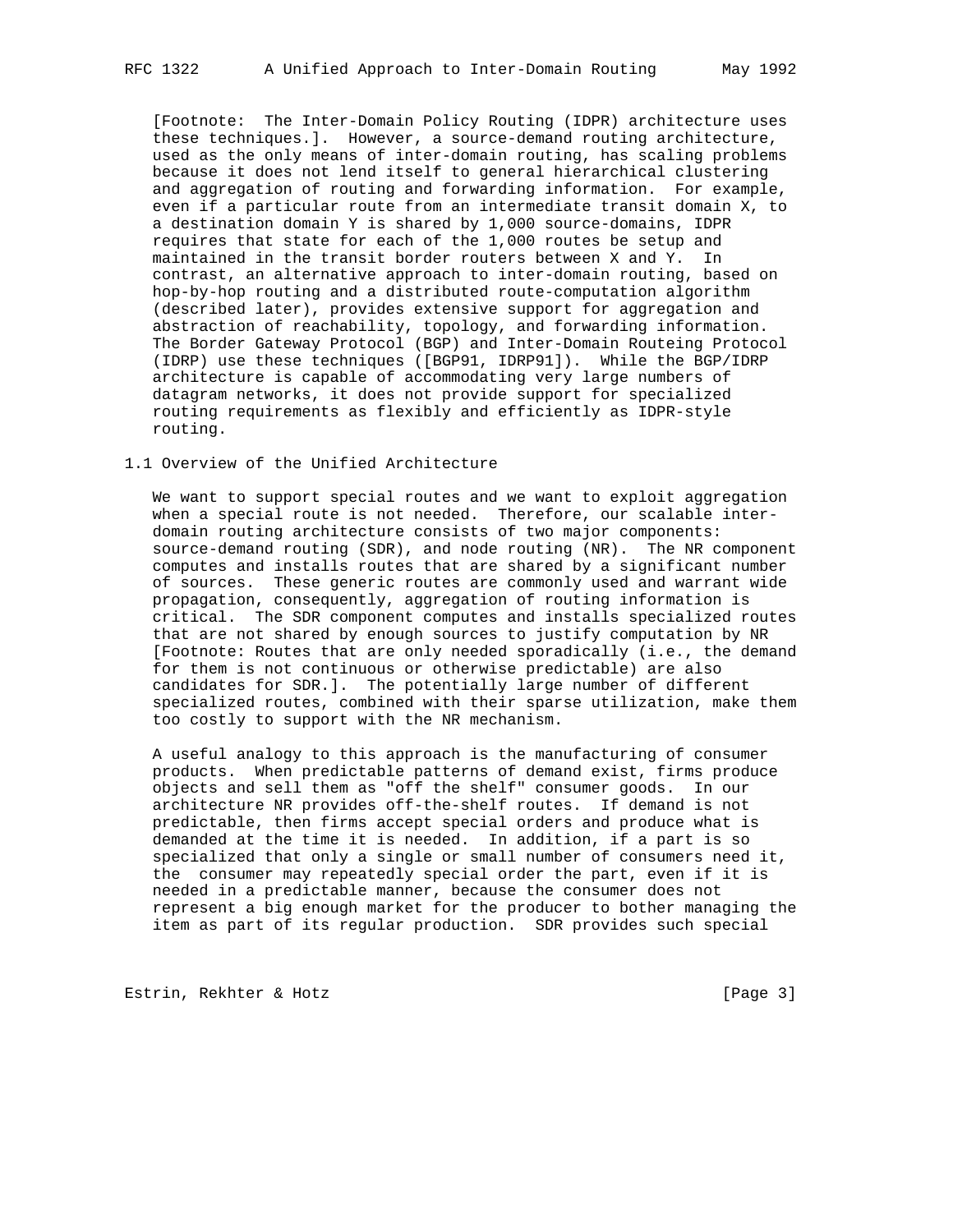[Footnote: The Inter-Domain Policy Routing (IDPR) architecture uses these techniques.]. However, a source-demand routing architecture, used as the only means of inter-domain routing, has scaling problems because it does not lend itself to general hierarchical clustering and aggregation of routing and forwarding information. For example, even if a particular route from an intermediate transit domain X, to a destination domain Y is shared by 1,000 source-domains, IDPR requires that state for each of the 1,000 routes be setup and maintained in the transit border routers between X and Y. In contrast, an alternative approach to inter-domain routing, based on hop-by-hop routing and a distributed route-computation algorithm (described later), provides extensive support for aggregation and abstraction of reachability, topology, and forwarding information. The Border Gateway Protocol (BGP) and Inter-Domain Routeing Protocol (IDRP) use these techniques ([BGP91, IDRP91]). While the BGP/IDRP architecture is capable of accommodating very large numbers of datagram networks, it does not provide support for specialized routing requirements as flexibly and efficiently as IDPR-style routing.

#### 1.1 Overview of the Unified Architecture

 We want to support special routes and we want to exploit aggregation when a special route is not needed. Therefore, our scalable inter domain routing architecture consists of two major components: source-demand routing (SDR), and node routing (NR). The NR component computes and installs routes that are shared by a significant number of sources. These generic routes are commonly used and warrant wide propagation, consequently, aggregation of routing information is critical. The SDR component computes and installs specialized routes that are not shared by enough sources to justify computation by NR [Footnote: Routes that are only needed sporadically (i.e., the demand for them is not continuous or otherwise predictable) are also candidates for SDR.]. The potentially large number of different specialized routes, combined with their sparse utilization, make them too costly to support with the NR mechanism.

 A useful analogy to this approach is the manufacturing of consumer products. When predictable patterns of demand exist, firms produce objects and sell them as "off the shelf" consumer goods. In our architecture NR provides off-the-shelf routes. If demand is not predictable, then firms accept special orders and produce what is demanded at the time it is needed. In addition, if a part is so specialized that only a single or small number of consumers need it, the consumer may repeatedly special order the part, even if it is needed in a predictable manner, because the consumer does not represent a big enough market for the producer to bother managing the item as part of its regular production. SDR provides such special

Estrin, Rekhter & Hotz [Page 3]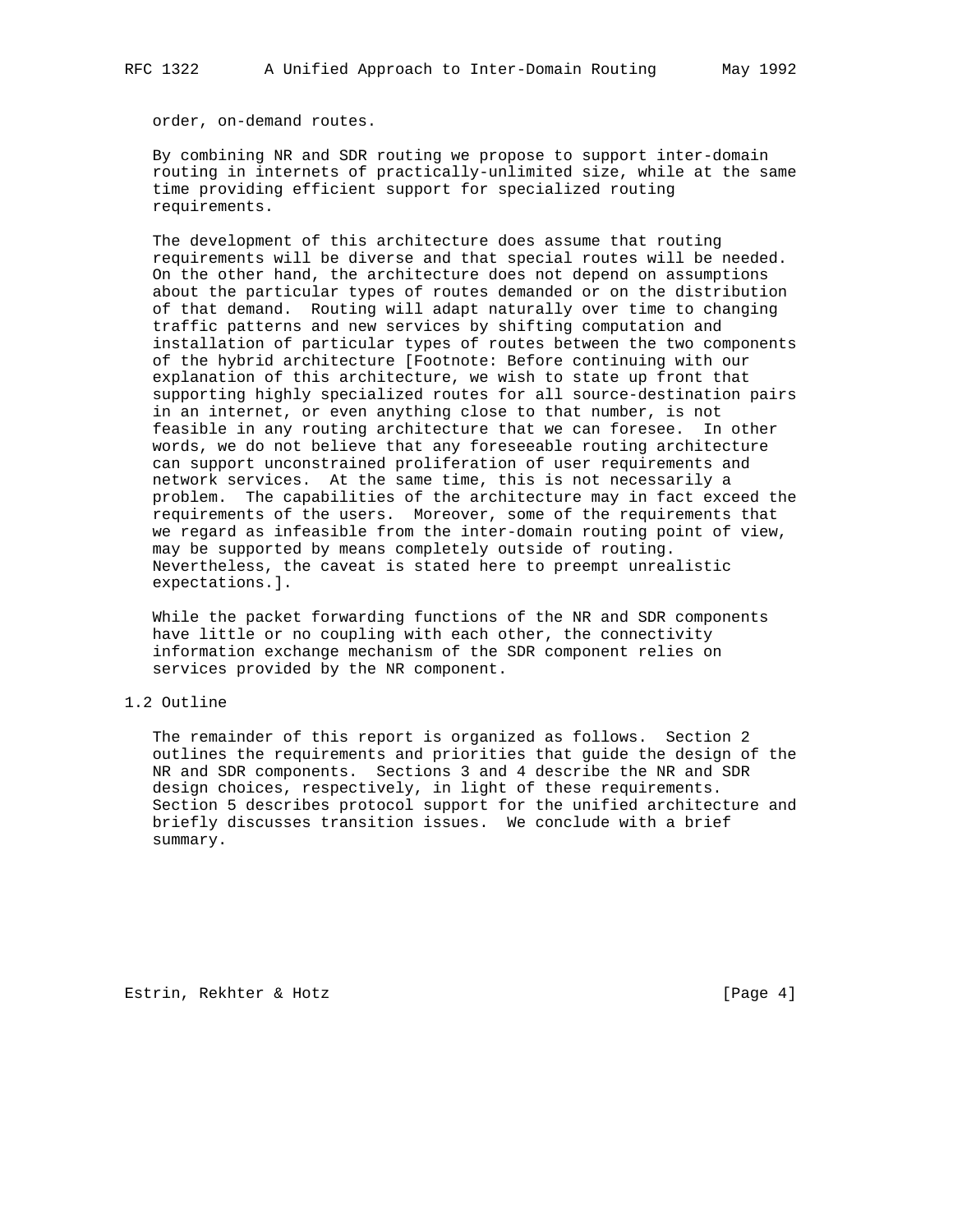order, on-demand routes.

 By combining NR and SDR routing we propose to support inter-domain routing in internets of practically-unlimited size, while at the same time providing efficient support for specialized routing requirements.

 The development of this architecture does assume that routing requirements will be diverse and that special routes will be needed. On the other hand, the architecture does not depend on assumptions about the particular types of routes demanded or on the distribution of that demand. Routing will adapt naturally over time to changing traffic patterns and new services by shifting computation and installation of particular types of routes between the two components of the hybrid architecture [Footnote: Before continuing with our explanation of this architecture, we wish to state up front that supporting highly specialized routes for all source-destination pairs in an internet, or even anything close to that number, is not feasible in any routing architecture that we can foresee. In other words, we do not believe that any foreseeable routing architecture can support unconstrained proliferation of user requirements and network services. At the same time, this is not necessarily a problem. The capabilities of the architecture may in fact exceed the requirements of the users. Moreover, some of the requirements that we regard as infeasible from the inter-domain routing point of view, may be supported by means completely outside of routing. Nevertheless, the caveat is stated here to preempt unrealistic expectations.].

 While the packet forwarding functions of the NR and SDR components have little or no coupling with each other, the connectivity information exchange mechanism of the SDR component relies on services provided by the NR component.

## 1.2 Outline

 The remainder of this report is organized as follows. Section 2 outlines the requirements and priorities that guide the design of the NR and SDR components. Sections 3 and 4 describe the NR and SDR design choices, respectively, in light of these requirements. Section 5 describes protocol support for the unified architecture and briefly discusses transition issues. We conclude with a brief summary.

Estrin, Rekhter & Hotz [Page 4]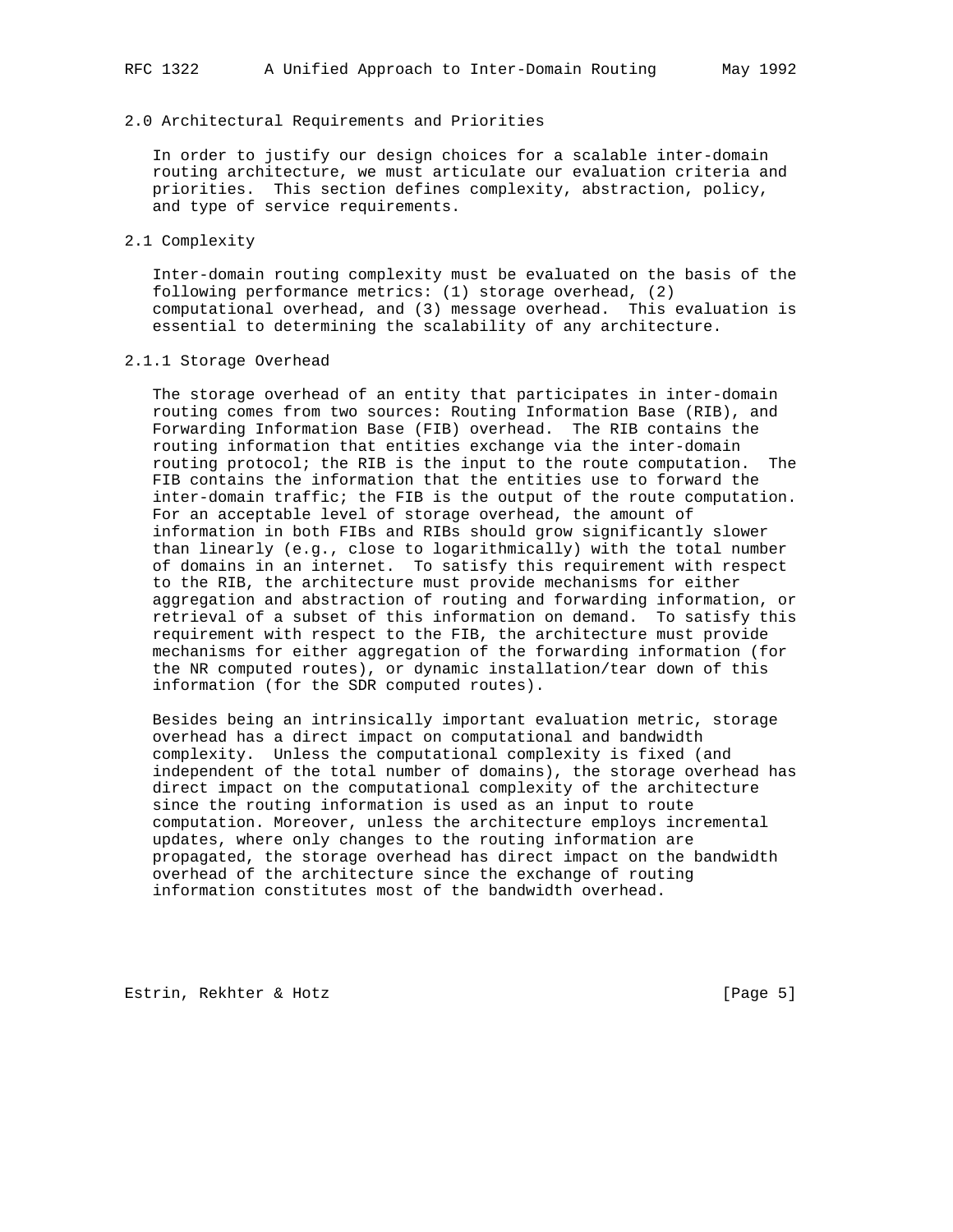#### 2.0 Architectural Requirements and Priorities

 In order to justify our design choices for a scalable inter-domain routing architecture, we must articulate our evaluation criteria and priorities. This section defines complexity, abstraction, policy, and type of service requirements.

#### 2.1 Complexity

 Inter-domain routing complexity must be evaluated on the basis of the following performance metrics: (1) storage overhead, (2) computational overhead, and (3) message overhead. This evaluation is essential to determining the scalability of any architecture.

#### 2.1.1 Storage Overhead

 The storage overhead of an entity that participates in inter-domain routing comes from two sources: Routing Information Base (RIB), and Forwarding Information Base (FIB) overhead. The RIB contains the routing information that entities exchange via the inter-domain routing protocol; the RIB is the input to the route computation. The FIB contains the information that the entities use to forward the inter-domain traffic; the FIB is the output of the route computation. For an acceptable level of storage overhead, the amount of information in both FIBs and RIBs should grow significantly slower than linearly (e.g., close to logarithmically) with the total number of domains in an internet. To satisfy this requirement with respect to the RIB, the architecture must provide mechanisms for either aggregation and abstraction of routing and forwarding information, or retrieval of a subset of this information on demand. To satisfy this requirement with respect to the FIB, the architecture must provide mechanisms for either aggregation of the forwarding information (for the NR computed routes), or dynamic installation/tear down of this information (for the SDR computed routes).

 Besides being an intrinsically important evaluation metric, storage overhead has a direct impact on computational and bandwidth complexity. Unless the computational complexity is fixed (and independent of the total number of domains), the storage overhead has direct impact on the computational complexity of the architecture since the routing information is used as an input to route computation. Moreover, unless the architecture employs incremental updates, where only changes to the routing information are propagated, the storage overhead has direct impact on the bandwidth overhead of the architecture since the exchange of routing information constitutes most of the bandwidth overhead.

Estrin, Rekhter & Hotz [Page 5]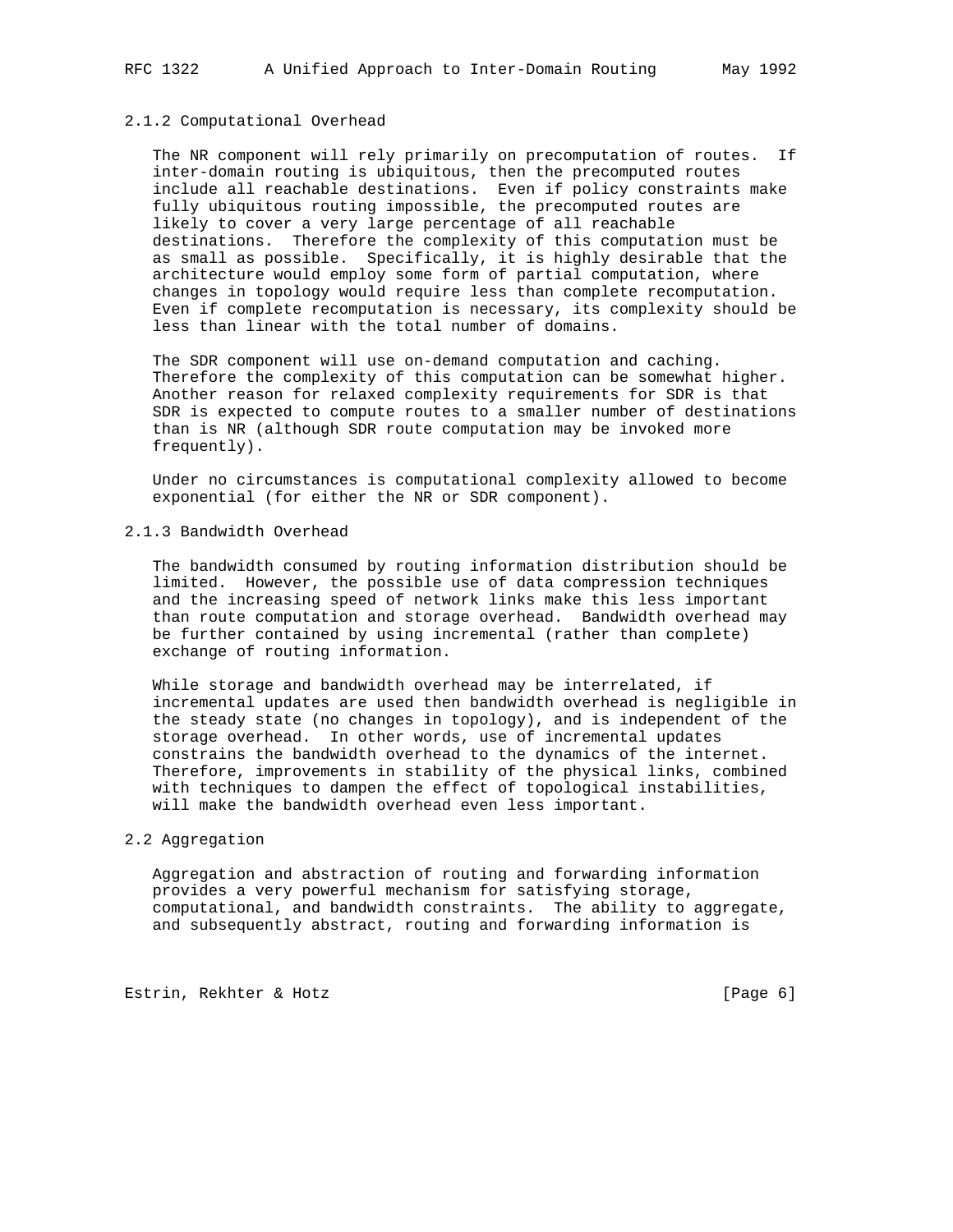#### 2.1.2 Computational Overhead

 The NR component will rely primarily on precomputation of routes. If inter-domain routing is ubiquitous, then the precomputed routes include all reachable destinations. Even if policy constraints make fully ubiquitous routing impossible, the precomputed routes are likely to cover a very large percentage of all reachable destinations. Therefore the complexity of this computation must be as small as possible. Specifically, it is highly desirable that the architecture would employ some form of partial computation, where changes in topology would require less than complete recomputation. Even if complete recomputation is necessary, its complexity should be less than linear with the total number of domains.

 The SDR component will use on-demand computation and caching. Therefore the complexity of this computation can be somewhat higher. Another reason for relaxed complexity requirements for SDR is that SDR is expected to compute routes to a smaller number of destinations than is NR (although SDR route computation may be invoked more frequently).

 Under no circumstances is computational complexity allowed to become exponential (for either the NR or SDR component).

### 2.1.3 Bandwidth Overhead

 The bandwidth consumed by routing information distribution should be limited. However, the possible use of data compression techniques and the increasing speed of network links make this less important than route computation and storage overhead. Bandwidth overhead may be further contained by using incremental (rather than complete) exchange of routing information.

 While storage and bandwidth overhead may be interrelated, if incremental updates are used then bandwidth overhead is negligible in the steady state (no changes in topology), and is independent of the storage overhead. In other words, use of incremental updates constrains the bandwidth overhead to the dynamics of the internet. Therefore, improvements in stability of the physical links, combined with techniques to dampen the effect of topological instabilities, will make the bandwidth overhead even less important.

#### 2.2 Aggregation

 Aggregation and abstraction of routing and forwarding information provides a very powerful mechanism for satisfying storage, computational, and bandwidth constraints. The ability to aggregate, and subsequently abstract, routing and forwarding information is

Estrin, Rekhter & Hotz [Page 6]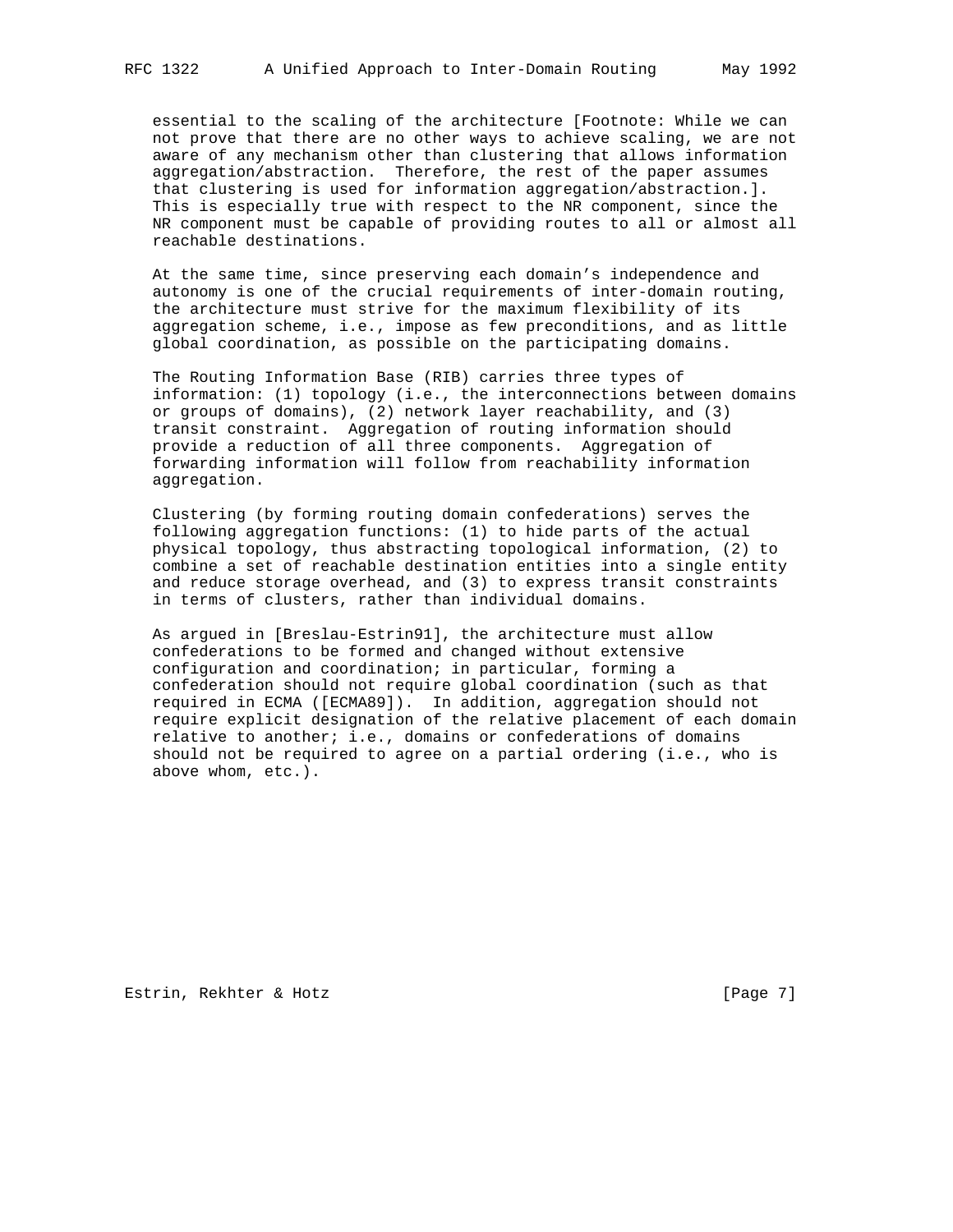essential to the scaling of the architecture [Footnote: While we can not prove that there are no other ways to achieve scaling, we are not aware of any mechanism other than clustering that allows information aggregation/abstraction. Therefore, the rest of the paper assumes that clustering is used for information aggregation/abstraction.]. This is especially true with respect to the NR component, since the NR component must be capable of providing routes to all or almost all reachable destinations.

 At the same time, since preserving each domain's independence and autonomy is one of the crucial requirements of inter-domain routing, the architecture must strive for the maximum flexibility of its aggregation scheme, i.e., impose as few preconditions, and as little global coordination, as possible on the participating domains.

 The Routing Information Base (RIB) carries three types of information: (1) topology (i.e., the interconnections between domains or groups of domains), (2) network layer reachability, and (3) transit constraint. Aggregation of routing information should provide a reduction of all three components. Aggregation of forwarding information will follow from reachability information aggregation.

 Clustering (by forming routing domain confederations) serves the following aggregation functions: (1) to hide parts of the actual physical topology, thus abstracting topological information, (2) to combine a set of reachable destination entities into a single entity and reduce storage overhead, and (3) to express transit constraints in terms of clusters, rather than individual domains.

 As argued in [Breslau-Estrin91], the architecture must allow confederations to be formed and changed without extensive configuration and coordination; in particular, forming a confederation should not require global coordination (such as that required in ECMA ([ECMA89]). In addition, aggregation should not require explicit designation of the relative placement of each domain relative to another; i.e., domains or confederations of domains should not be required to agree on a partial ordering (i.e., who is above whom, etc.).

Estrin, Rekhter & Hotz [Page 7]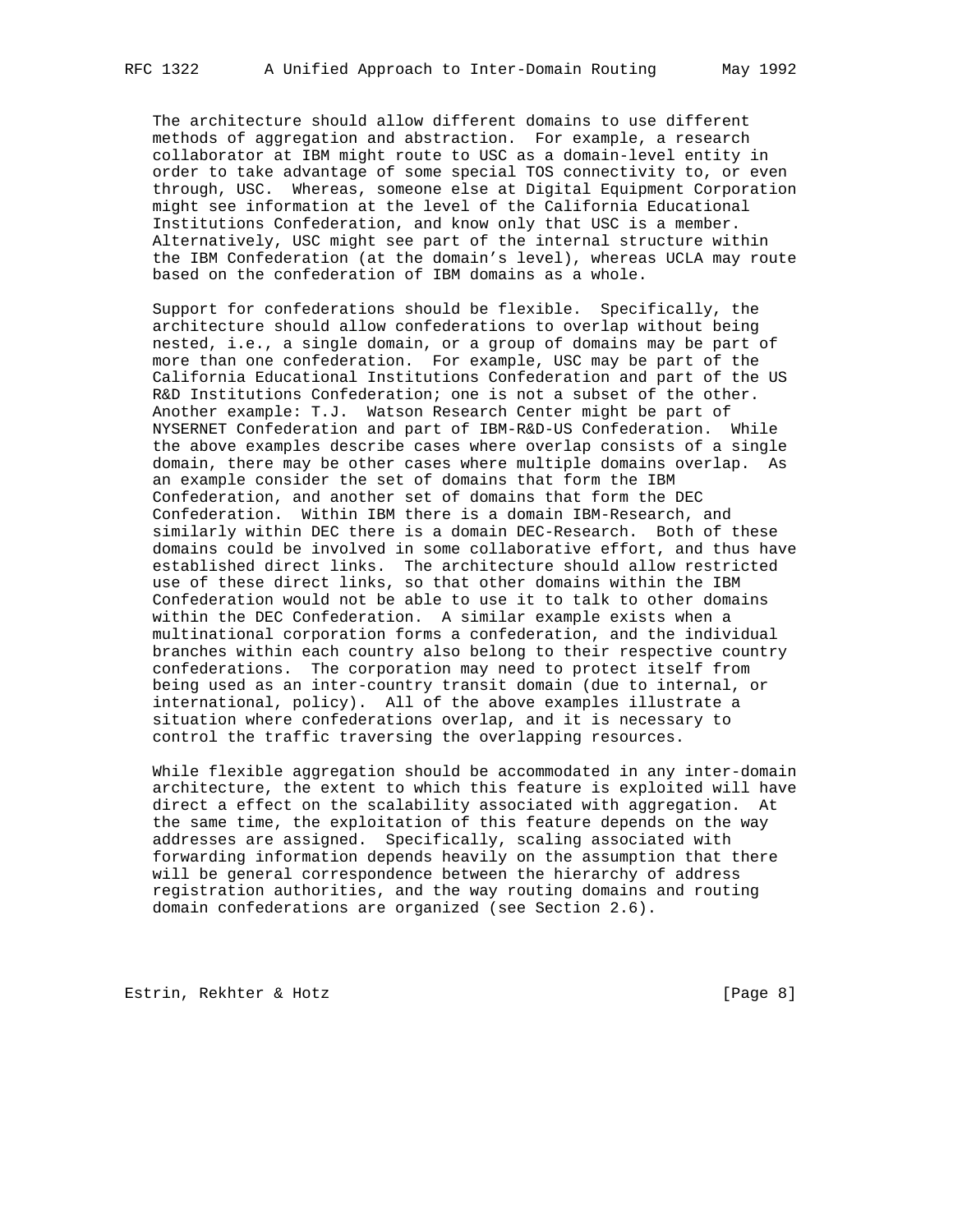The architecture should allow different domains to use different methods of aggregation and abstraction. For example, a research collaborator at IBM might route to USC as a domain-level entity in order to take advantage of some special TOS connectivity to, or even through, USC. Whereas, someone else at Digital Equipment Corporation might see information at the level of the California Educational Institutions Confederation, and know only that USC is a member. Alternatively, USC might see part of the internal structure within the IBM Confederation (at the domain's level), whereas UCLA may route based on the confederation of IBM domains as a whole.

 Support for confederations should be flexible. Specifically, the architecture should allow confederations to overlap without being nested, i.e., a single domain, or a group of domains may be part of more than one confederation. For example, USC may be part of the California Educational Institutions Confederation and part of the US R&D Institutions Confederation; one is not a subset of the other. Another example: T.J. Watson Research Center might be part of NYSERNET Confederation and part of IBM-R&D-US Confederation. While the above examples describe cases where overlap consists of a single domain, there may be other cases where multiple domains overlap. As an example consider the set of domains that form the IBM Confederation, and another set of domains that form the DEC Confederation. Within IBM there is a domain IBM-Research, and similarly within DEC there is a domain DEC-Research. Both of these domains could be involved in some collaborative effort, and thus have established direct links. The architecture should allow restricted use of these direct links, so that other domains within the IBM Confederation would not be able to use it to talk to other domains within the DEC Confederation. A similar example exists when a multinational corporation forms a confederation, and the individual branches within each country also belong to their respective country confederations. The corporation may need to protect itself from being used as an inter-country transit domain (due to internal, or international, policy). All of the above examples illustrate a situation where confederations overlap, and it is necessary to control the traffic traversing the overlapping resources.

 While flexible aggregation should be accommodated in any inter-domain architecture, the extent to which this feature is exploited will have direct a effect on the scalability associated with aggregation. At the same time, the exploitation of this feature depends on the way addresses are assigned. Specifically, scaling associated with forwarding information depends heavily on the assumption that there will be general correspondence between the hierarchy of address registration authorities, and the way routing domains and routing domain confederations are organized (see Section 2.6).

Estrin, Rekhter & Hotz [Page 8]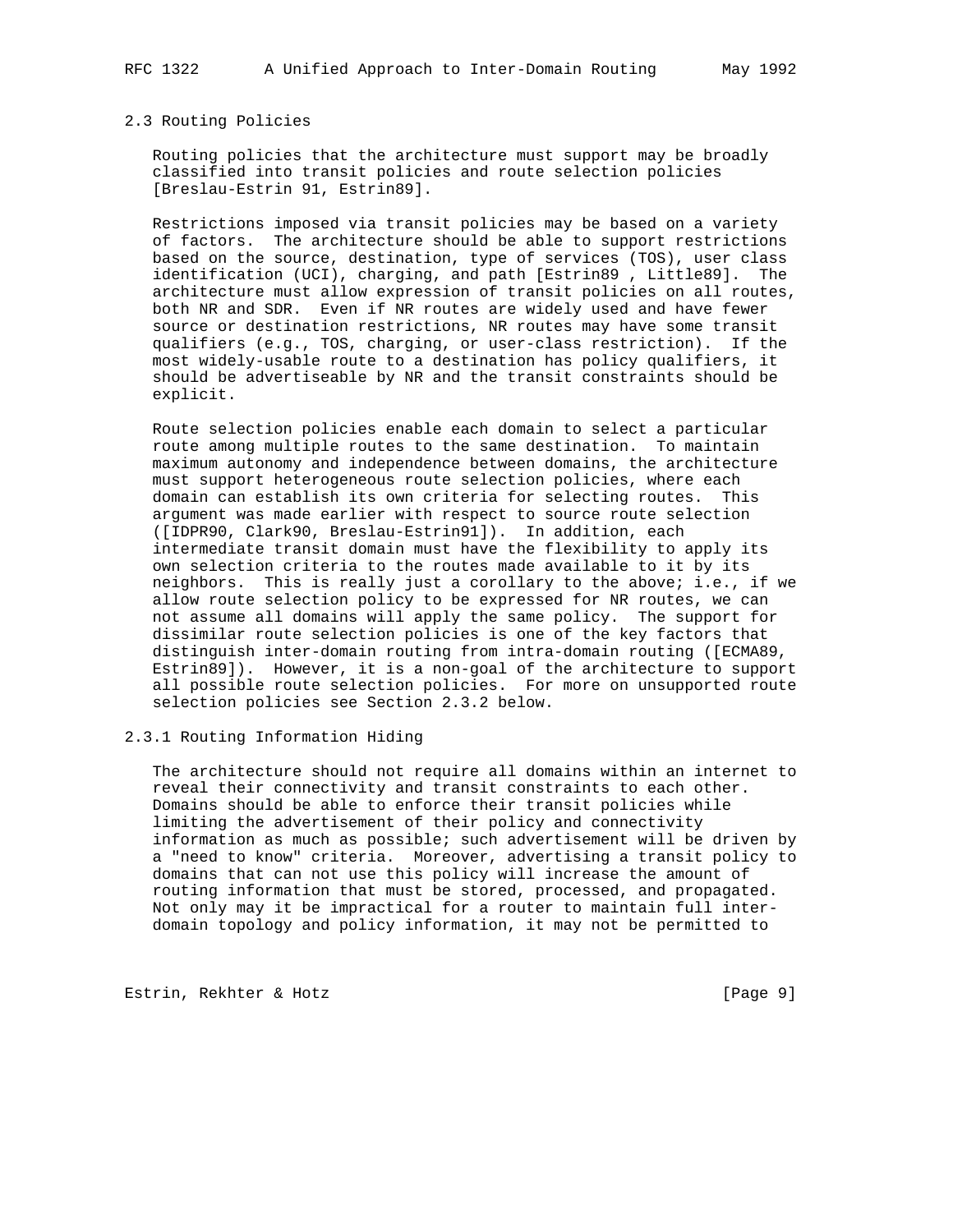#### 2.3 Routing Policies

 Routing policies that the architecture must support may be broadly classified into transit policies and route selection policies [Breslau-Estrin 91, Estrin89].

 Restrictions imposed via transit policies may be based on a variety of factors. The architecture should be able to support restrictions based on the source, destination, type of services (TOS), user class identification (UCI), charging, and path [Estrin89 , Little89]. The architecture must allow expression of transit policies on all routes, both NR and SDR. Even if NR routes are widely used and have fewer source or destination restrictions, NR routes may have some transit qualifiers (e.g., TOS, charging, or user-class restriction). If the most widely-usable route to a destination has policy qualifiers, it should be advertiseable by NR and the transit constraints should be explicit.

 Route selection policies enable each domain to select a particular route among multiple routes to the same destination. To maintain maximum autonomy and independence between domains, the architecture must support heterogeneous route selection policies, where each domain can establish its own criteria for selecting routes. This argument was made earlier with respect to source route selection ([IDPR90, Clark90, Breslau-Estrin91]). In addition, each intermediate transit domain must have the flexibility to apply its own selection criteria to the routes made available to it by its neighbors. This is really just a corollary to the above; i.e., if we allow route selection policy to be expressed for NR routes, we can not assume all domains will apply the same policy. The support for dissimilar route selection policies is one of the key factors that distinguish inter-domain routing from intra-domain routing ([ECMA89, Estrin89]). However, it is a non-goal of the architecture to support all possible route selection policies. For more on unsupported route selection policies see Section 2.3.2 below.

## 2.3.1 Routing Information Hiding

 The architecture should not require all domains within an internet to reveal their connectivity and transit constraints to each other. Domains should be able to enforce their transit policies while limiting the advertisement of their policy and connectivity information as much as possible; such advertisement will be driven by a "need to know" criteria. Moreover, advertising a transit policy to domains that can not use this policy will increase the amount of routing information that must be stored, processed, and propagated. Not only may it be impractical for a router to maintain full inter domain topology and policy information, it may not be permitted to

Estrin, Rekhter & Hotz [Page 9]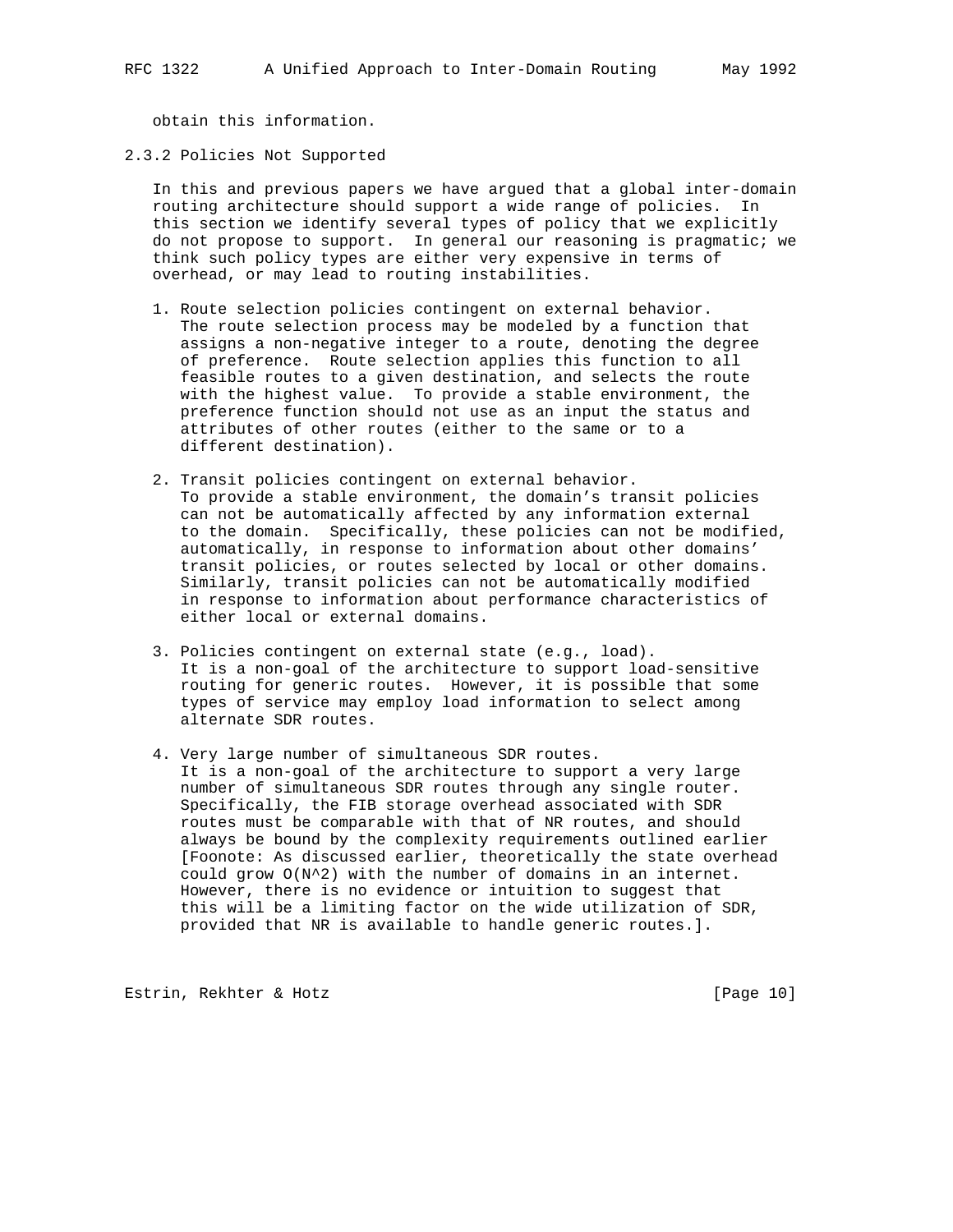obtain this information.

#### 2.3.2 Policies Not Supported

 In this and previous papers we have argued that a global inter-domain routing architecture should support a wide range of policies. In this section we identify several types of policy that we explicitly do not propose to support. In general our reasoning is pragmatic; we think such policy types are either very expensive in terms of overhead, or may lead to routing instabilities.

- 1. Route selection policies contingent on external behavior. The route selection process may be modeled by a function that assigns a non-negative integer to a route, denoting the degree of preference. Route selection applies this function to all feasible routes to a given destination, and selects the route with the highest value. To provide a stable environment, the preference function should not use as an input the status and attributes of other routes (either to the same or to a different destination).
- 2. Transit policies contingent on external behavior. To provide a stable environment, the domain's transit policies can not be automatically affected by any information external to the domain. Specifically, these policies can not be modified, automatically, in response to information about other domains' transit policies, or routes selected by local or other domains. Similarly, transit policies can not be automatically modified in response to information about performance characteristics of either local or external domains.
- 3. Policies contingent on external state (e.g., load). It is a non-goal of the architecture to support load-sensitive routing for generic routes. However, it is possible that some types of service may employ load information to select among alternate SDR routes.
- 4. Very large number of simultaneous SDR routes. It is a non-goal of the architecture to support a very large number of simultaneous SDR routes through any single router. Specifically, the FIB storage overhead associated with SDR routes must be comparable with that of NR routes, and should always be bound by the complexity requirements outlined earlier [Foonote: As discussed earlier, theoretically the state overhead could grow  $O(N^2)$  with the number of domains in an internet. However, there is no evidence or intuition to suggest that this will be a limiting factor on the wide utilization of SDR, provided that NR is available to handle generic routes.].

Estrin, Rekhter & Hotz [Page 10]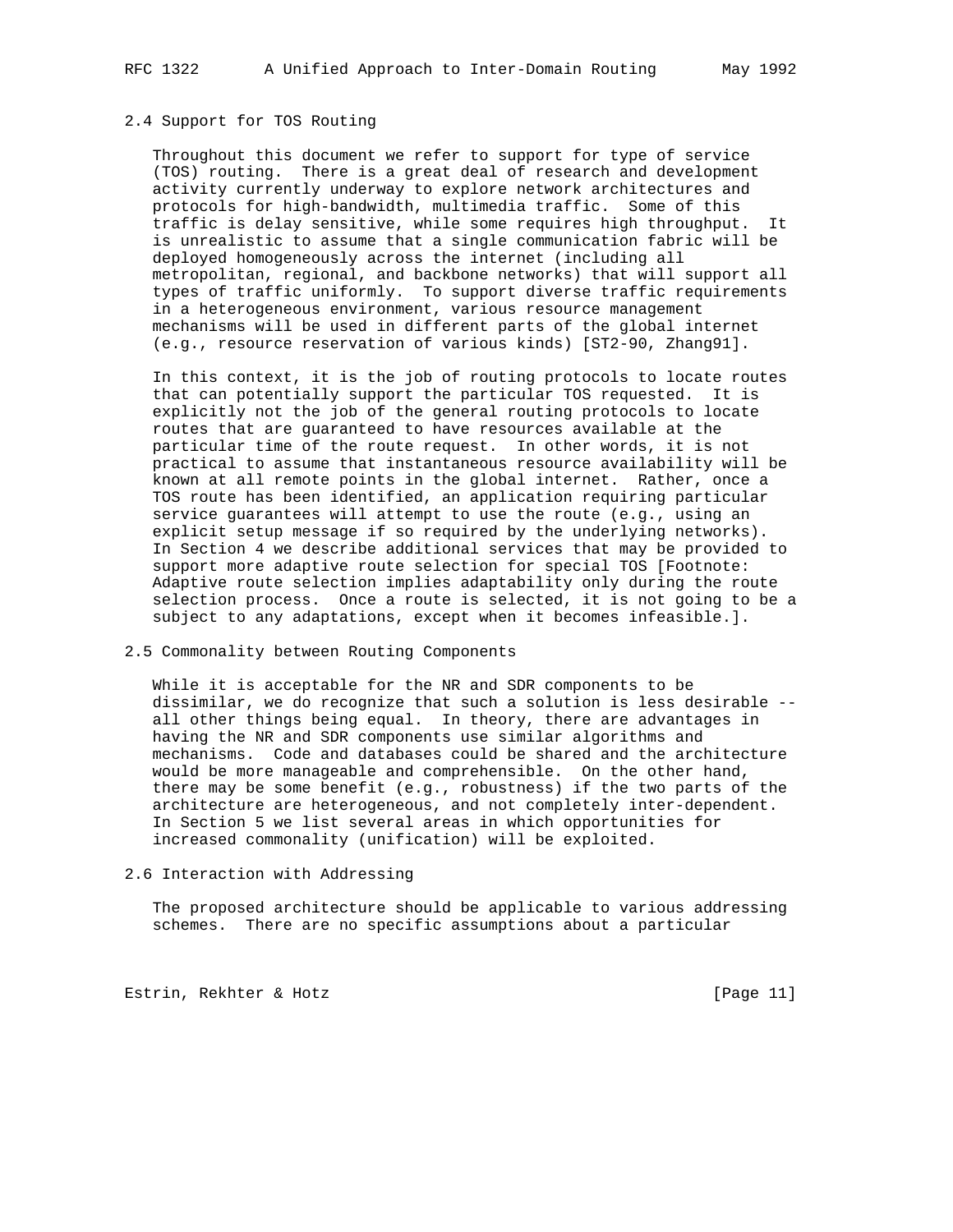### 2.4 Support for TOS Routing

 Throughout this document we refer to support for type of service (TOS) routing. There is a great deal of research and development activity currently underway to explore network architectures and protocols for high-bandwidth, multimedia traffic. Some of this traffic is delay sensitive, while some requires high throughput. It is unrealistic to assume that a single communication fabric will be deployed homogeneously across the internet (including all metropolitan, regional, and backbone networks) that will support all types of traffic uniformly. To support diverse traffic requirements in a heterogeneous environment, various resource management mechanisms will be used in different parts of the global internet (e.g., resource reservation of various kinds) [ST2-90, Zhang91].

 In this context, it is the job of routing protocols to locate routes that can potentially support the particular TOS requested. It is explicitly not the job of the general routing protocols to locate routes that are guaranteed to have resources available at the particular time of the route request. In other words, it is not practical to assume that instantaneous resource availability will be known at all remote points in the global internet. Rather, once a TOS route has been identified, an application requiring particular service guarantees will attempt to use the route (e.g., using an explicit setup message if so required by the underlying networks). In Section 4 we describe additional services that may be provided to support more adaptive route selection for special TOS [Footnote: Adaptive route selection implies adaptability only during the route selection process. Once a route is selected, it is not going to be a subject to any adaptations, except when it becomes infeasible.].

### 2.5 Commonality between Routing Components

 While it is acceptable for the NR and SDR components to be dissimilar, we do recognize that such a solution is less desirable - all other things being equal. In theory, there are advantages in having the NR and SDR components use similar algorithms and mechanisms. Code and databases could be shared and the architecture would be more manageable and comprehensible. On the other hand, there may be some benefit (e.g., robustness) if the two parts of the architecture are heterogeneous, and not completely inter-dependent. In Section 5 we list several areas in which opportunities for increased commonality (unification) will be exploited.

## 2.6 Interaction with Addressing

 The proposed architecture should be applicable to various addressing schemes. There are no specific assumptions about a particular

Estrin, Rekhter & Hotz [Page 11]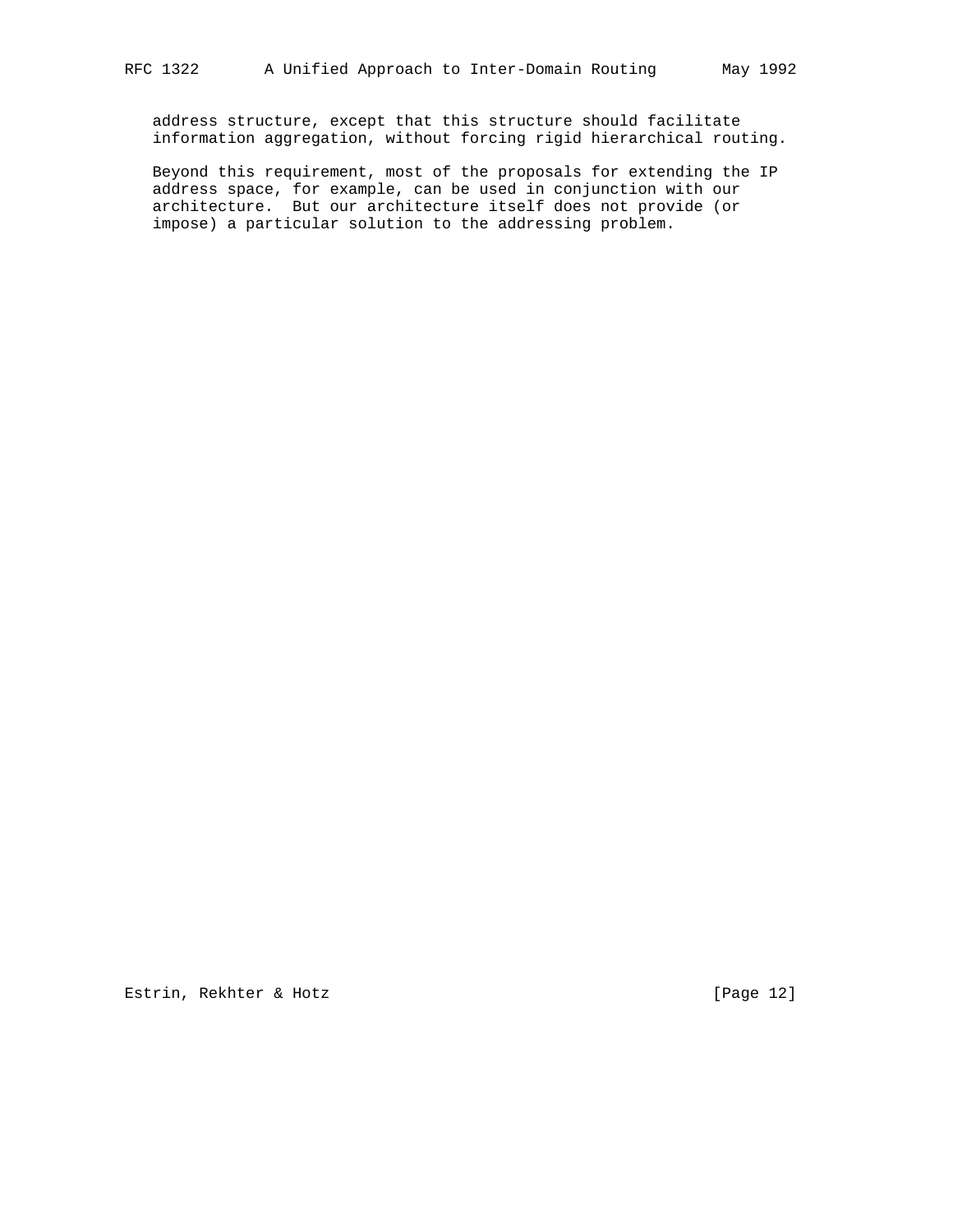address structure, except that this structure should facilitate information aggregation, without forcing rigid hierarchical routing.

 Beyond this requirement, most of the proposals for extending the IP address space, for example, can be used in conjunction with our architecture. But our architecture itself does not provide (or impose) a particular solution to the addressing problem.

Estrin, Rekhter & Hotz [Page 12]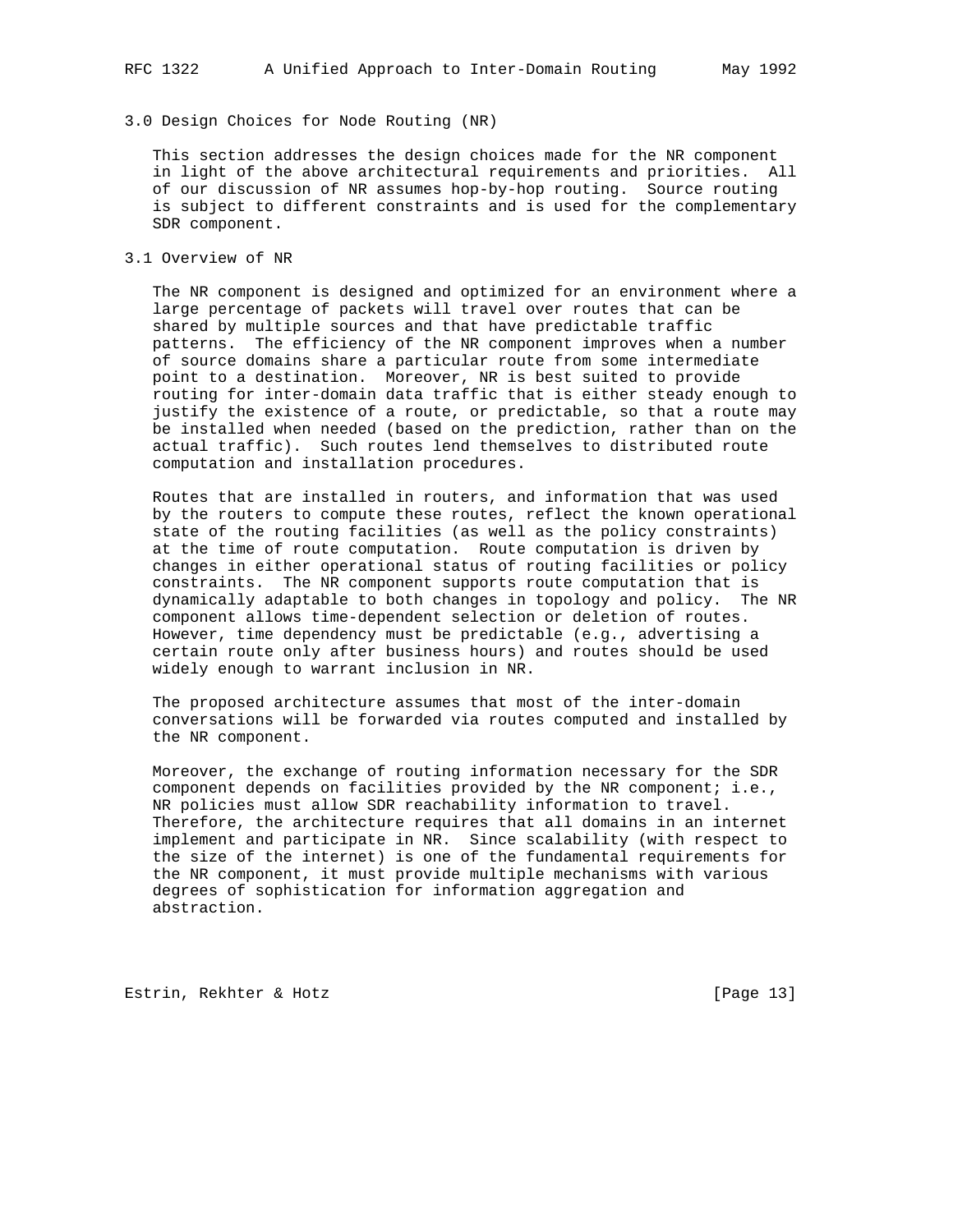#### 3.0 Design Choices for Node Routing (NR)

 This section addresses the design choices made for the NR component in light of the above architectural requirements and priorities. All of our discussion of NR assumes hop-by-hop routing. Source routing is subject to different constraints and is used for the complementary SDR component.

### 3.1 Overview of NR

 The NR component is designed and optimized for an environment where a large percentage of packets will travel over routes that can be shared by multiple sources and that have predictable traffic patterns. The efficiency of the NR component improves when a number of source domains share a particular route from some intermediate point to a destination. Moreover, NR is best suited to provide routing for inter-domain data traffic that is either steady enough to justify the existence of a route, or predictable, so that a route may be installed when needed (based on the prediction, rather than on the actual traffic). Such routes lend themselves to distributed route computation and installation procedures.

 Routes that are installed in routers, and information that was used by the routers to compute these routes, reflect the known operational state of the routing facilities (as well as the policy constraints) at the time of route computation. Route computation is driven by changes in either operational status of routing facilities or policy constraints. The NR component supports route computation that is dynamically adaptable to both changes in topology and policy. The NR component allows time-dependent selection or deletion of routes. However, time dependency must be predictable (e.g., advertising a certain route only after business hours) and routes should be used widely enough to warrant inclusion in NR.

 The proposed architecture assumes that most of the inter-domain conversations will be forwarded via routes computed and installed by the NR component.

 Moreover, the exchange of routing information necessary for the SDR component depends on facilities provided by the NR component; i.e., NR policies must allow SDR reachability information to travel. Therefore, the architecture requires that all domains in an internet implement and participate in NR. Since scalability (with respect to the size of the internet) is one of the fundamental requirements for the NR component, it must provide multiple mechanisms with various degrees of sophistication for information aggregation and abstraction.

Estrin, Rekhter & Hotz [Page 13]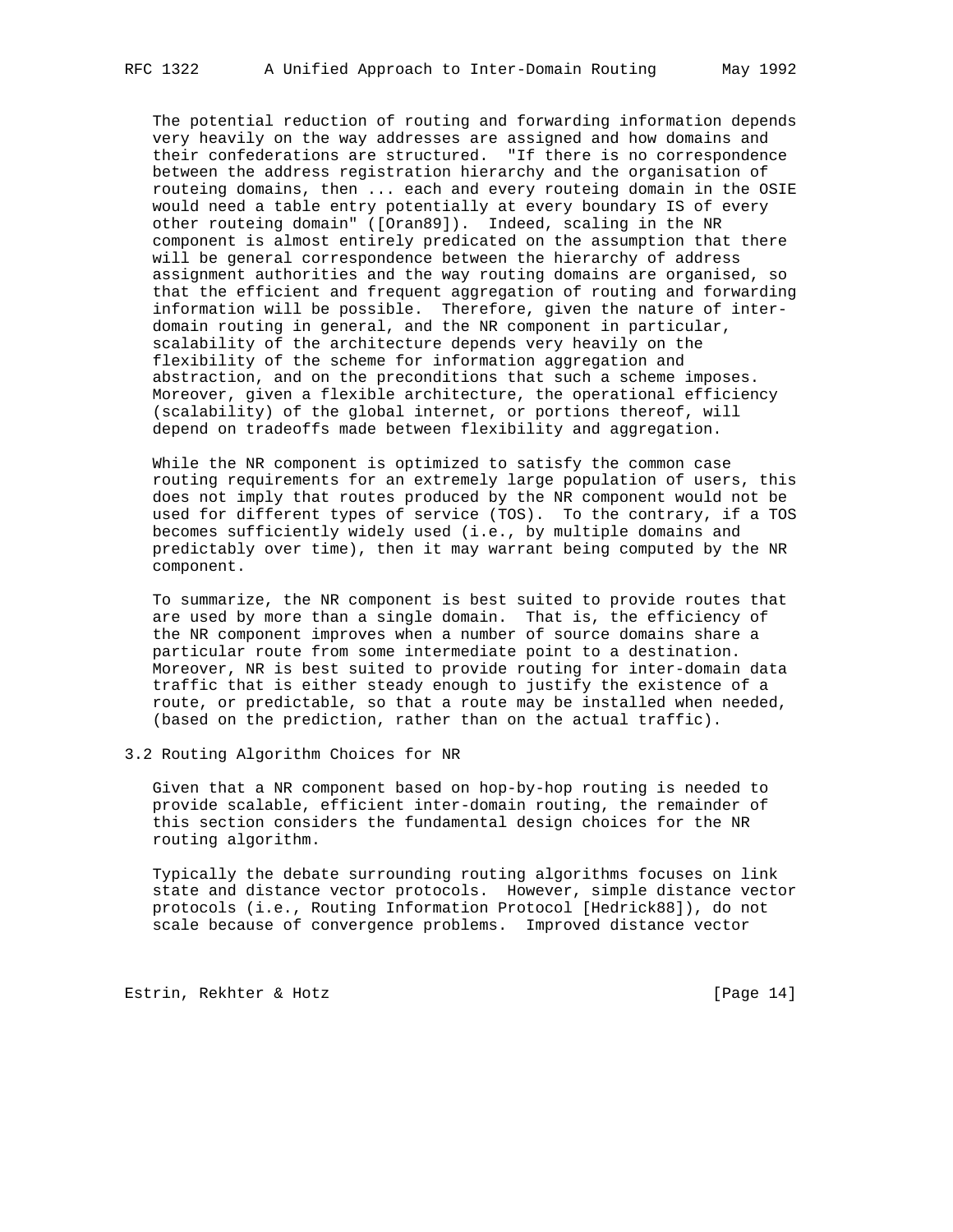The potential reduction of routing and forwarding information depends very heavily on the way addresses are assigned and how domains and their confederations are structured. "If there is no correspondence between the address registration hierarchy and the organisation of routeing domains, then ... each and every routeing domain in the OSIE would need a table entry potentially at every boundary IS of every other routeing domain" ([Oran89]). Indeed, scaling in the NR component is almost entirely predicated on the assumption that there will be general correspondence between the hierarchy of address assignment authorities and the way routing domains are organised, so that the efficient and frequent aggregation of routing and forwarding information will be possible. Therefore, given the nature of inter domain routing in general, and the NR component in particular, scalability of the architecture depends very heavily on the flexibility of the scheme for information aggregation and abstraction, and on the preconditions that such a scheme imposes. Moreover, given a flexible architecture, the operational efficiency (scalability) of the global internet, or portions thereof, will depend on tradeoffs made between flexibility and aggregation.

 While the NR component is optimized to satisfy the common case routing requirements for an extremely large population of users, this does not imply that routes produced by the NR component would not be used for different types of service (TOS). To the contrary, if a TOS becomes sufficiently widely used (i.e., by multiple domains and predictably over time), then it may warrant being computed by the NR component.

 To summarize, the NR component is best suited to provide routes that are used by more than a single domain. That is, the efficiency of the NR component improves when a number of source domains share a particular route from some intermediate point to a destination. Moreover, NR is best suited to provide routing for inter-domain data traffic that is either steady enough to justify the existence of a route, or predictable, so that a route may be installed when needed, (based on the prediction, rather than on the actual traffic).

3.2 Routing Algorithm Choices for NR

 Given that a NR component based on hop-by-hop routing is needed to provide scalable, efficient inter-domain routing, the remainder of this section considers the fundamental design choices for the NR routing algorithm.

 Typically the debate surrounding routing algorithms focuses on link state and distance vector protocols. However, simple distance vector protocols (i.e., Routing Information Protocol [Hedrick88]), do not scale because of convergence problems. Improved distance vector

Estrin, Rekhter & Hotz [Page 14]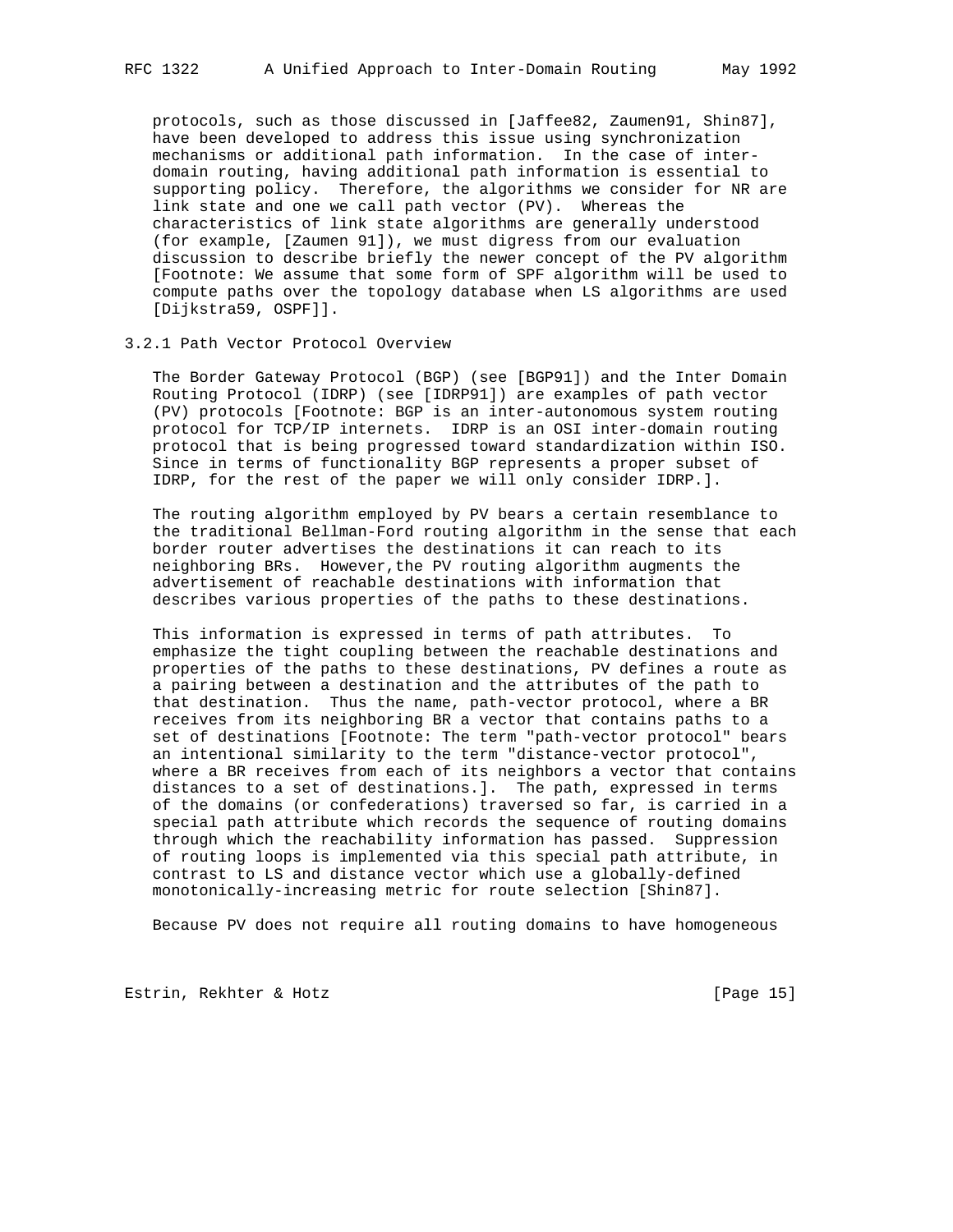protocols, such as those discussed in [Jaffee82, Zaumen91, Shin87], have been developed to address this issue using synchronization mechanisms or additional path information. In the case of inter domain routing, having additional path information is essential to supporting policy. Therefore, the algorithms we consider for NR are link state and one we call path vector (PV). Whereas the characteristics of link state algorithms are generally understood (for example, [Zaumen 91]), we must digress from our evaluation discussion to describe briefly the newer concept of the PV algorithm [Footnote: We assume that some form of SPF algorithm will be used to compute paths over the topology database when LS algorithms are used [Dijkstra59, OSPF]].

### 3.2.1 Path Vector Protocol Overview

 The Border Gateway Protocol (BGP) (see [BGP91]) and the Inter Domain Routing Protocol (IDRP) (see [IDRP91]) are examples of path vector (PV) protocols [Footnote: BGP is an inter-autonomous system routing protocol for TCP/IP internets. IDRP is an OSI inter-domain routing protocol that is being progressed toward standardization within ISO. Since in terms of functionality BGP represents a proper subset of IDRP, for the rest of the paper we will only consider IDRP.].

 The routing algorithm employed by PV bears a certain resemblance to the traditional Bellman-Ford routing algorithm in the sense that each border router advertises the destinations it can reach to its neighboring BRs. However,the PV routing algorithm augments the advertisement of reachable destinations with information that describes various properties of the paths to these destinations.

 This information is expressed in terms of path attributes. To emphasize the tight coupling between the reachable destinations and properties of the paths to these destinations, PV defines a route as a pairing between a destination and the attributes of the path to that destination. Thus the name, path-vector protocol, where a BR receives from its neighboring BR a vector that contains paths to a set of destinations [Footnote: The term "path-vector protocol" bears an intentional similarity to the term "distance-vector protocol", where a BR receives from each of its neighbors a vector that contains distances to a set of destinations.]. The path, expressed in terms of the domains (or confederations) traversed so far, is carried in a special path attribute which records the sequence of routing domains through which the reachability information has passed. Suppression of routing loops is implemented via this special path attribute, in contrast to LS and distance vector which use a globally-defined monotonically-increasing metric for route selection [Shin87].

Because PV does not require all routing domains to have homogeneous

Estrin, Rekhter & Hotz [Page 15]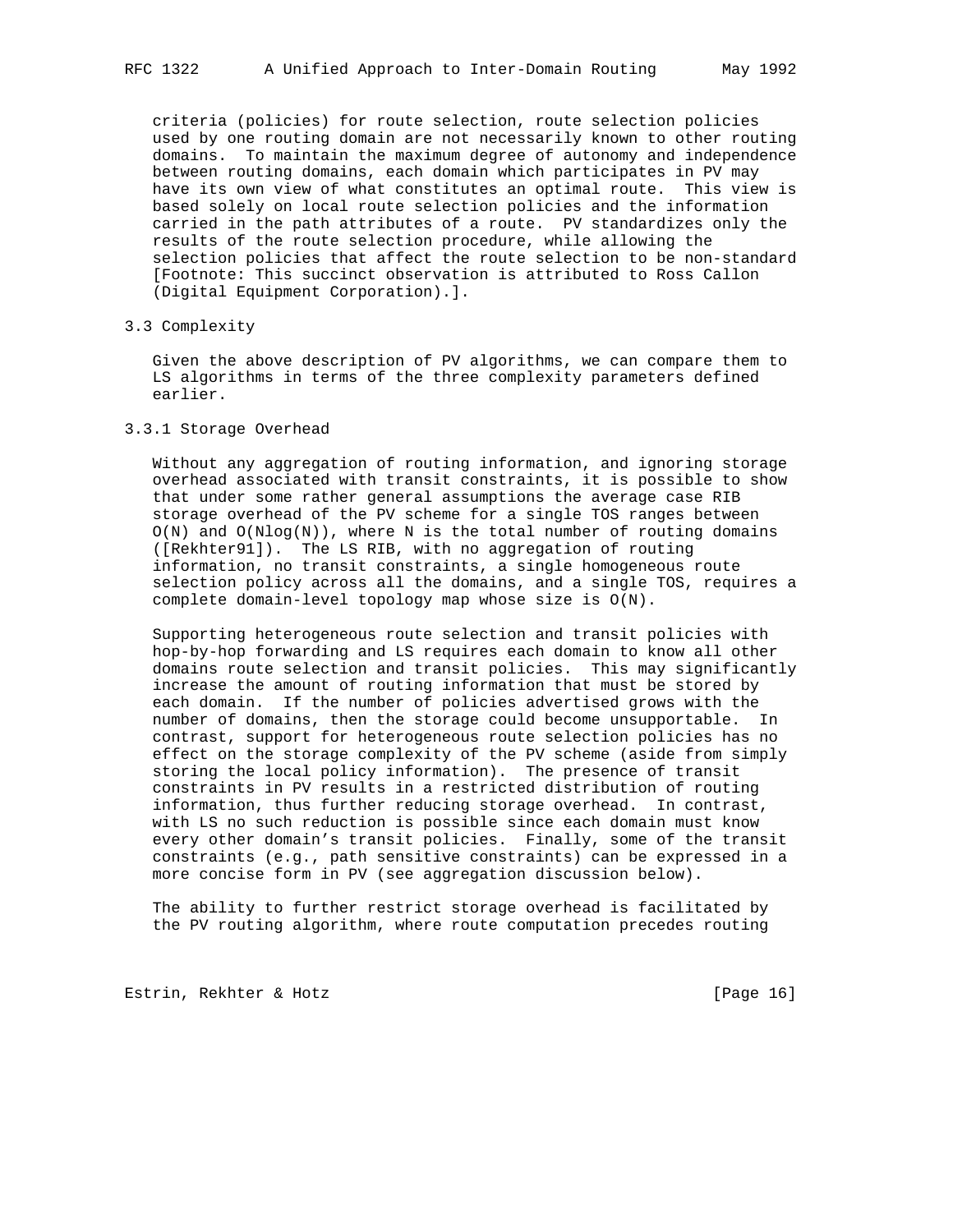criteria (policies) for route selection, route selection policies used by one routing domain are not necessarily known to other routing domains. To maintain the maximum degree of autonomy and independence between routing domains, each domain which participates in PV may have its own view of what constitutes an optimal route. This view is based solely on local route selection policies and the information carried in the path attributes of a route. PV standardizes only the results of the route selection procedure, while allowing the selection policies that affect the route selection to be non-standard [Footnote: This succinct observation is attributed to Ross Callon (Digital Equipment Corporation).].

#### 3.3 Complexity

 Given the above description of PV algorithms, we can compare them to LS algorithms in terms of the three complexity parameters defined earlier.

## 3.3.1 Storage Overhead

 Without any aggregation of routing information, and ignoring storage overhead associated with transit constraints, it is possible to show that under some rather general assumptions the average case RIB storage overhead of the PV scheme for a single TOS ranges between  $O(N)$  and  $O(Nlog(N))$ , where N is the total number of routing domains ([Rekhter91]). The LS RIB, with no aggregation of routing information, no transit constraints, a single homogeneous route selection policy across all the domains, and a single TOS, requires a complete domain-level topology map whose size is O(N).

 Supporting heterogeneous route selection and transit policies with hop-by-hop forwarding and LS requires each domain to know all other domains route selection and transit policies. This may significantly increase the amount of routing information that must be stored by each domain. If the number of policies advertised grows with the number of domains, then the storage could become unsupportable. In contrast, support for heterogeneous route selection policies has no effect on the storage complexity of the PV scheme (aside from simply storing the local policy information). The presence of transit constraints in PV results in a restricted distribution of routing information, thus further reducing storage overhead. In contrast, with LS no such reduction is possible since each domain must know every other domain's transit policies. Finally, some of the transit constraints (e.g., path sensitive constraints) can be expressed in a more concise form in PV (see aggregation discussion below).

 The ability to further restrict storage overhead is facilitated by the PV routing algorithm, where route computation precedes routing

Estrin, Rekhter & Hotz [Page 16]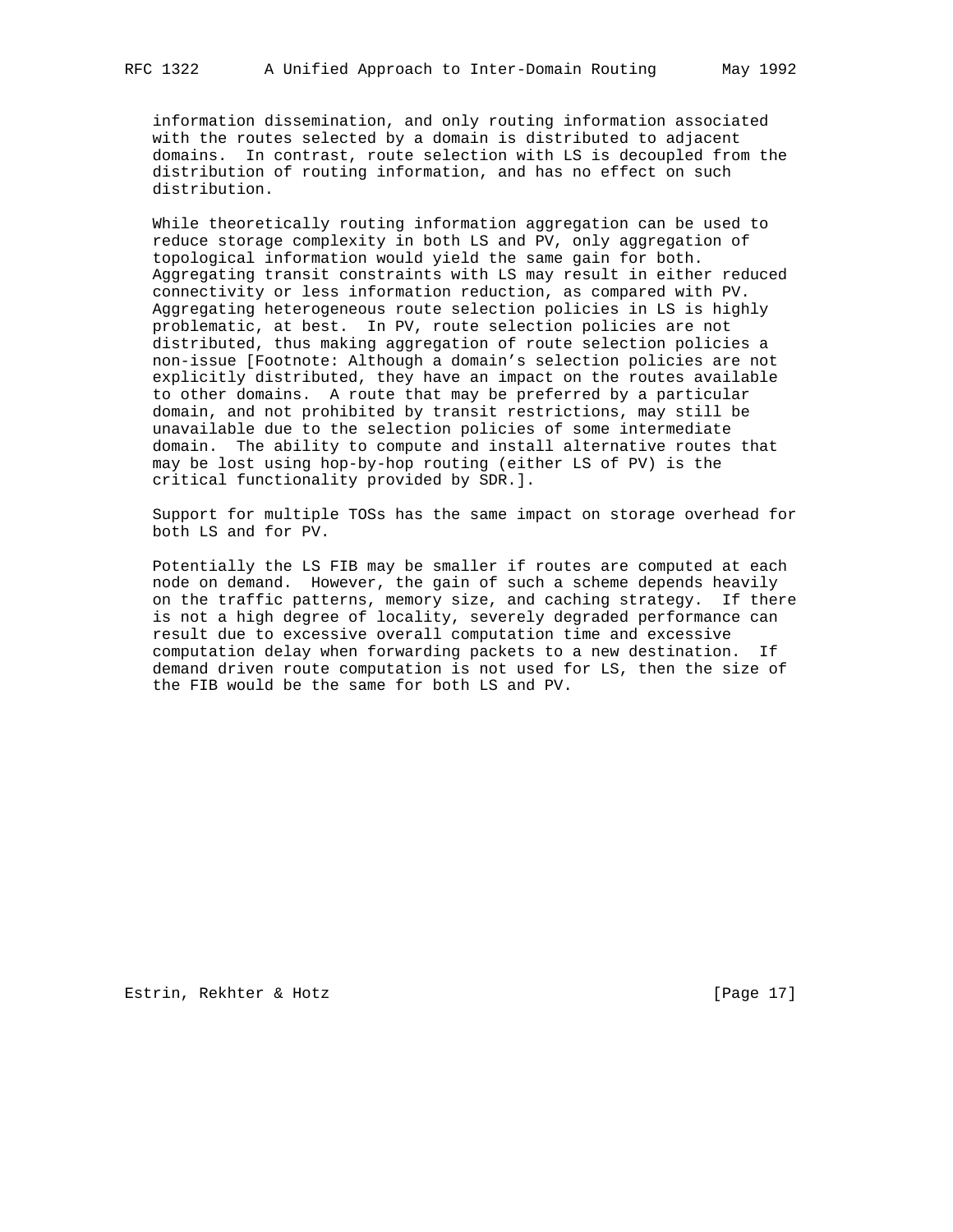information dissemination, and only routing information associated with the routes selected by a domain is distributed to adjacent domains. In contrast, route selection with LS is decoupled from the distribution of routing information, and has no effect on such distribution.

 While theoretically routing information aggregation can be used to reduce storage complexity in both LS and PV, only aggregation of topological information would yield the same gain for both. Aggregating transit constraints with LS may result in either reduced connectivity or less information reduction, as compared with PV. Aggregating heterogeneous route selection policies in LS is highly problematic, at best. In PV, route selection policies are not distributed, thus making aggregation of route selection policies a non-issue [Footnote: Although a domain's selection policies are not explicitly distributed, they have an impact on the routes available to other domains. A route that may be preferred by a particular domain, and not prohibited by transit restrictions, may still be unavailable due to the selection policies of some intermediate domain. The ability to compute and install alternative routes that may be lost using hop-by-hop routing (either LS of PV) is the critical functionality provided by SDR.].

 Support for multiple TOSs has the same impact on storage overhead for both LS and for PV.

 Potentially the LS FIB may be smaller if routes are computed at each node on demand. However, the gain of such a scheme depends heavily on the traffic patterns, memory size, and caching strategy. If there is not a high degree of locality, severely degraded performance can result due to excessive overall computation time and excessive computation delay when forwarding packets to a new destination. If demand driven route computation is not used for LS, then the size of the FIB would be the same for both LS and PV.

Estrin, Rekhter & Hotz [Page 17]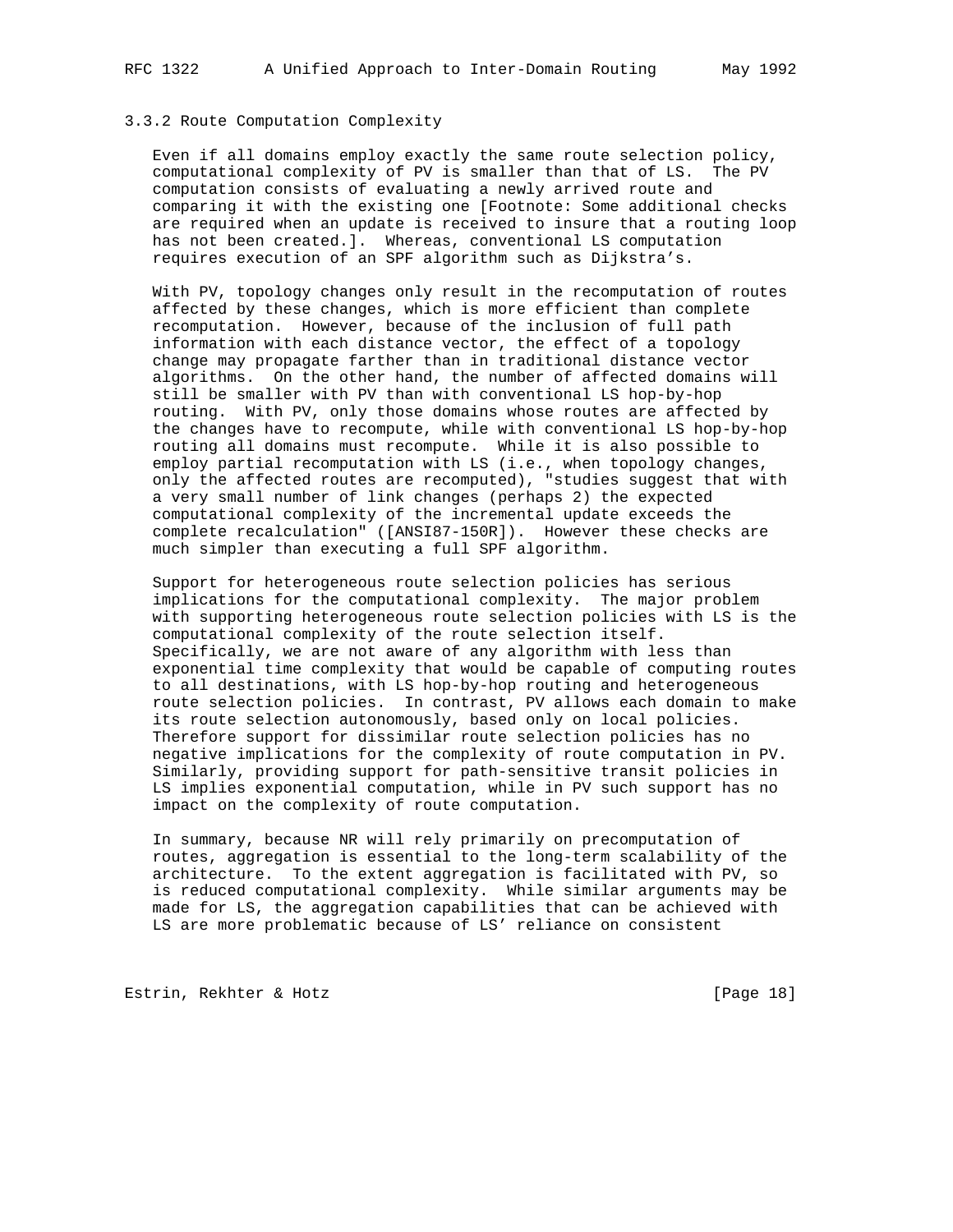## 3.3.2 Route Computation Complexity

 Even if all domains employ exactly the same route selection policy, computational complexity of PV is smaller than that of LS. The PV computation consists of evaluating a newly arrived route and comparing it with the existing one [Footnote: Some additional checks are required when an update is received to insure that a routing loop has not been created.]. Whereas, conventional LS computation requires execution of an SPF algorithm such as Dijkstra's.

 With PV, topology changes only result in the recomputation of routes affected by these changes, which is more efficient than complete recomputation. However, because of the inclusion of full path information with each distance vector, the effect of a topology change may propagate farther than in traditional distance vector algorithms. On the other hand, the number of affected domains will still be smaller with PV than with conventional LS hop-by-hop routing. With PV, only those domains whose routes are affected by the changes have to recompute, while with conventional LS hop-by-hop routing all domains must recompute. While it is also possible to employ partial recomputation with LS (i.e., when topology changes, only the affected routes are recomputed), "studies suggest that with a very small number of link changes (perhaps 2) the expected computational complexity of the incremental update exceeds the complete recalculation" ([ANSI87-150R]). However these checks are much simpler than executing a full SPF algorithm.

 Support for heterogeneous route selection policies has serious implications for the computational complexity. The major problem with supporting heterogeneous route selection policies with LS is the computational complexity of the route selection itself. Specifically, we are not aware of any algorithm with less than exponential time complexity that would be capable of computing routes to all destinations, with LS hop-by-hop routing and heterogeneous route selection policies. In contrast, PV allows each domain to make its route selection autonomously, based only on local policies. Therefore support for dissimilar route selection policies has no negative implications for the complexity of route computation in PV. Similarly, providing support for path-sensitive transit policies in LS implies exponential computation, while in PV such support has no impact on the complexity of route computation.

 In summary, because NR will rely primarily on precomputation of routes, aggregation is essential to the long-term scalability of the architecture. To the extent aggregation is facilitated with PV, so is reduced computational complexity. While similar arguments may be made for LS, the aggregation capabilities that can be achieved with LS are more problematic because of LS' reliance on consistent

Estrin, Rekhter & Hotz [Page 18]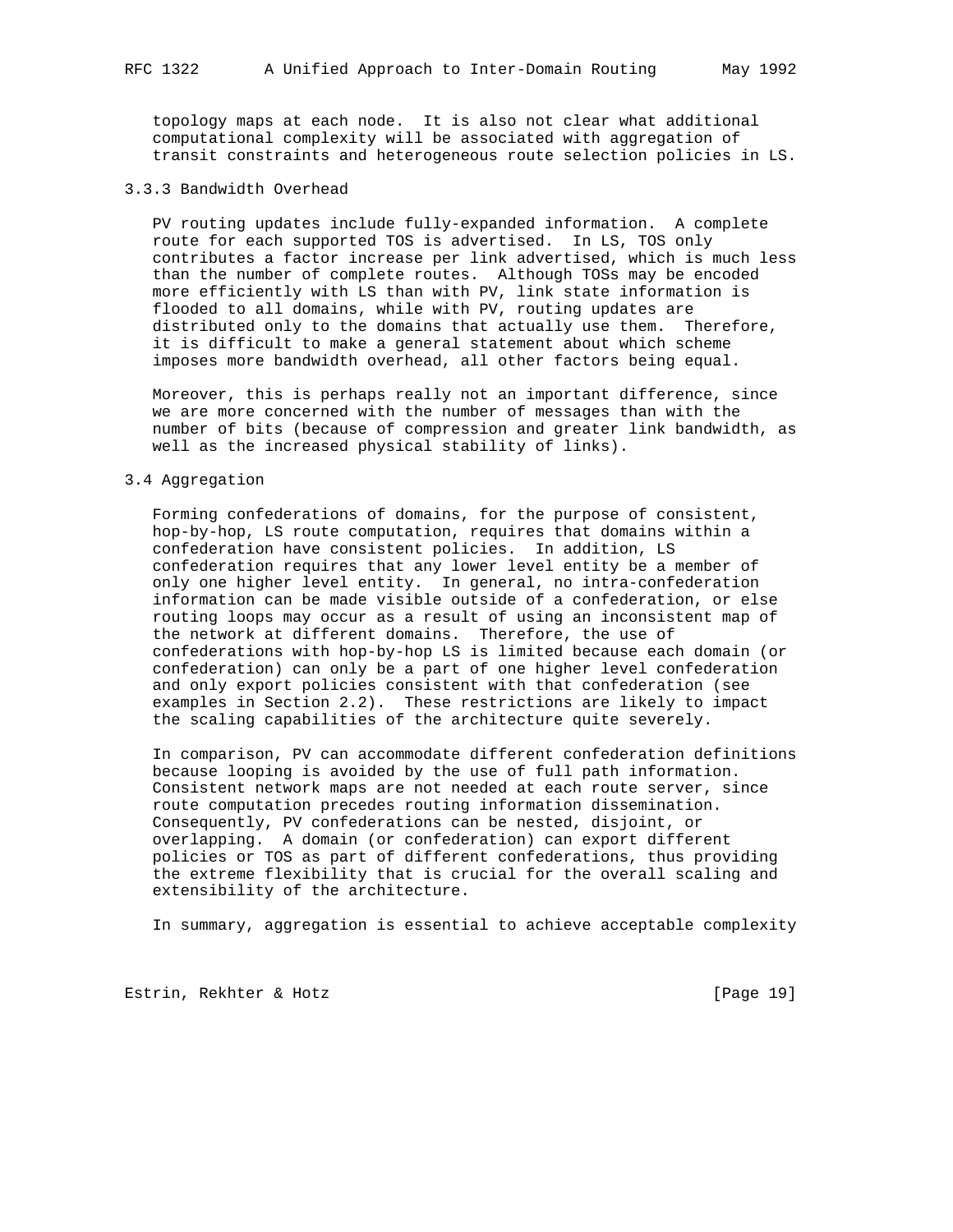topology maps at each node. It is also not clear what additional computational complexity will be associated with aggregation of transit constraints and heterogeneous route selection policies in LS.

#### 3.3.3 Bandwidth Overhead

 PV routing updates include fully-expanded information. A complete route for each supported TOS is advertised. In LS, TOS only contributes a factor increase per link advertised, which is much less than the number of complete routes. Although TOSs may be encoded more efficiently with LS than with PV, link state information is flooded to all domains, while with PV, routing updates are distributed only to the domains that actually use them. Therefore, it is difficult to make a general statement about which scheme imposes more bandwidth overhead, all other factors being equal.

 Moreover, this is perhaps really not an important difference, since we are more concerned with the number of messages than with the number of bits (because of compression and greater link bandwidth, as well as the increased physical stability of links).

#### 3.4 Aggregation

 Forming confederations of domains, for the purpose of consistent, hop-by-hop, LS route computation, requires that domains within a confederation have consistent policies. In addition, LS confederation requires that any lower level entity be a member of only one higher level entity. In general, no intra-confederation information can be made visible outside of a confederation, or else routing loops may occur as a result of using an inconsistent map of the network at different domains. Therefore, the use of confederations with hop-by-hop LS is limited because each domain (or confederation) can only be a part of one higher level confederation and only export policies consistent with that confederation (see examples in Section 2.2). These restrictions are likely to impact the scaling capabilities of the architecture quite severely.

 In comparison, PV can accommodate different confederation definitions because looping is avoided by the use of full path information. Consistent network maps are not needed at each route server, since route computation precedes routing information dissemination. Consequently, PV confederations can be nested, disjoint, or overlapping. A domain (or confederation) can export different policies or TOS as part of different confederations, thus providing the extreme flexibility that is crucial for the overall scaling and extensibility of the architecture.

In summary, aggregation is essential to achieve acceptable complexity

Estrin, Rekhter & Hotz [Page 19]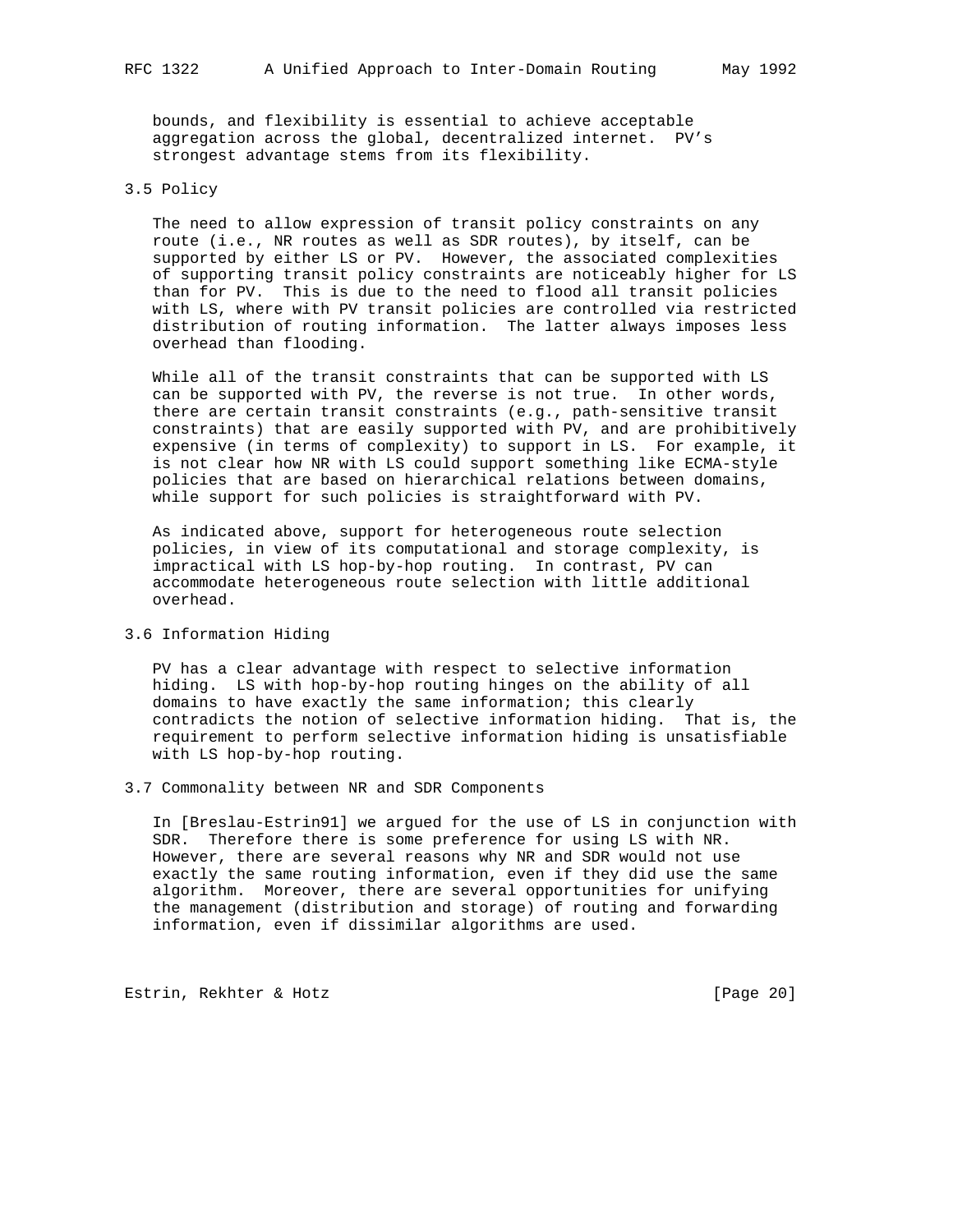bounds, and flexibility is essential to achieve acceptable aggregation across the global, decentralized internet. PV's strongest advantage stems from its flexibility.

## 3.5 Policy

 The need to allow expression of transit policy constraints on any route (i.e., NR routes as well as SDR routes), by itself, can be supported by either LS or PV. However, the associated complexities of supporting transit policy constraints are noticeably higher for LS than for PV. This is due to the need to flood all transit policies with LS, where with PV transit policies are controlled via restricted distribution of routing information. The latter always imposes less overhead than flooding.

 While all of the transit constraints that can be supported with LS can be supported with PV, the reverse is not true. In other words, there are certain transit constraints (e.g., path-sensitive transit constraints) that are easily supported with PV, and are prohibitively expensive (in terms of complexity) to support in LS. For example, it is not clear how NR with LS could support something like ECMA-style policies that are based on hierarchical relations between domains, while support for such policies is straightforward with PV.

 As indicated above, support for heterogeneous route selection policies, in view of its computational and storage complexity, is impractical with LS hop-by-hop routing. In contrast, PV can accommodate heterogeneous route selection with little additional overhead.

# 3.6 Information Hiding

 PV has a clear advantage with respect to selective information hiding. LS with hop-by-hop routing hinges on the ability of all domains to have exactly the same information; this clearly contradicts the notion of selective information hiding. That is, the requirement to perform selective information hiding is unsatisfiable with LS hop-by-hop routing.

### 3.7 Commonality between NR and SDR Components

 In [Breslau-Estrin91] we argued for the use of LS in conjunction with SDR. Therefore there is some preference for using LS with NR. However, there are several reasons why NR and SDR would not use exactly the same routing information, even if they did use the same algorithm. Moreover, there are several opportunities for unifying the management (distribution and storage) of routing and forwarding information, even if dissimilar algorithms are used.

Estrin, Rekhter & Hotz [Page 20]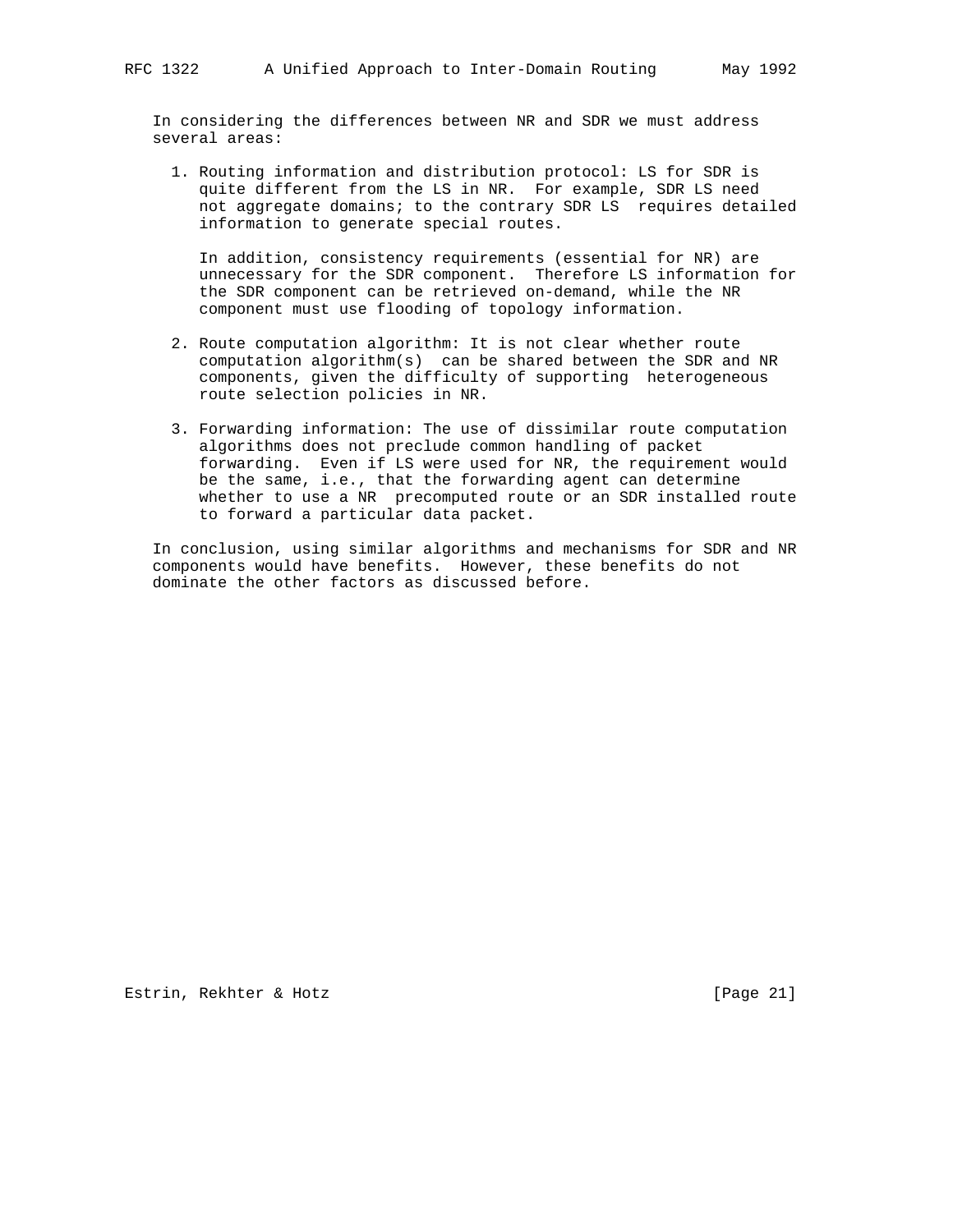In considering the differences between NR and SDR we must address several areas:

 1. Routing information and distribution protocol: LS for SDR is quite different from the LS in NR. For example, SDR LS need not aggregate domains; to the contrary SDR LS requires detailed information to generate special routes.

 In addition, consistency requirements (essential for NR) are unnecessary for the SDR component. Therefore LS information for the SDR component can be retrieved on-demand, while the NR component must use flooding of topology information.

- 2. Route computation algorithm: It is not clear whether route computation algorithm(s) can be shared between the SDR and NR components, given the difficulty of supporting heterogeneous route selection policies in NR.
- 3. Forwarding information: The use of dissimilar route computation algorithms does not preclude common handling of packet forwarding. Even if LS were used for NR, the requirement would be the same, i.e., that the forwarding agent can determine whether to use a NR precomputed route or an SDR installed route to forward a particular data packet.

 In conclusion, using similar algorithms and mechanisms for SDR and NR components would have benefits. However, these benefits do not dominate the other factors as discussed before.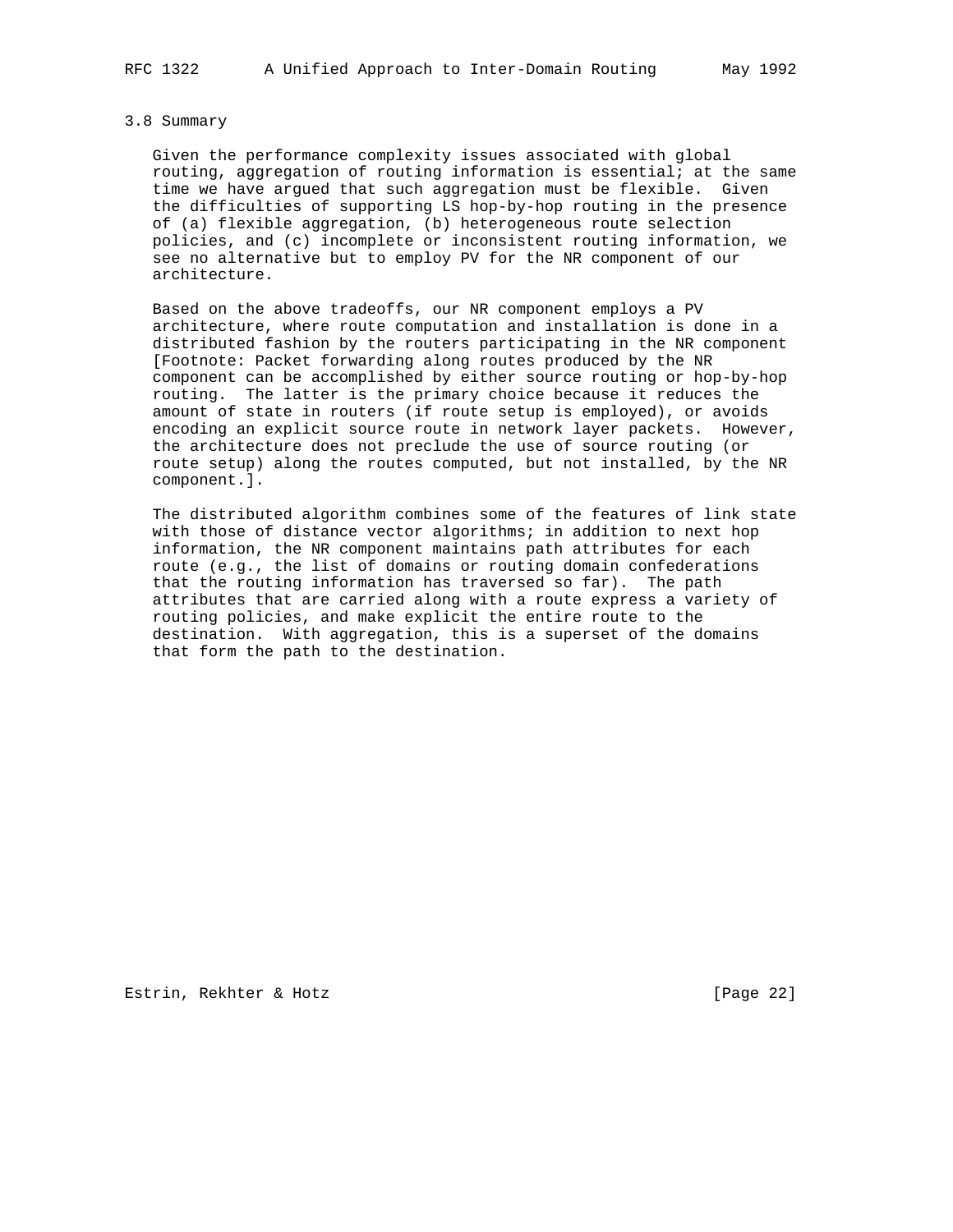#### 3.8 Summary

 Given the performance complexity issues associated with global routing, aggregation of routing information is essential; at the same time we have argued that such aggregation must be flexible. Given the difficulties of supporting LS hop-by-hop routing in the presence of (a) flexible aggregation, (b) heterogeneous route selection policies, and (c) incomplete or inconsistent routing information, we see no alternative but to employ PV for the NR component of our architecture.

 Based on the above tradeoffs, our NR component employs a PV architecture, where route computation and installation is done in a distributed fashion by the routers participating in the NR component [Footnote: Packet forwarding along routes produced by the NR component can be accomplished by either source routing or hop-by-hop routing. The latter is the primary choice because it reduces the amount of state in routers (if route setup is employed), or avoids encoding an explicit source route in network layer packets. However, the architecture does not preclude the use of source routing (or route setup) along the routes computed, but not installed, by the NR component.].

 The distributed algorithm combines some of the features of link state with those of distance vector algorithms; in addition to next hop information, the NR component maintains path attributes for each route (e.g., the list of domains or routing domain confederations that the routing information has traversed so far). The path attributes that are carried along with a route express a variety of routing policies, and make explicit the entire route to the destination. With aggregation, this is a superset of the domains that form the path to the destination.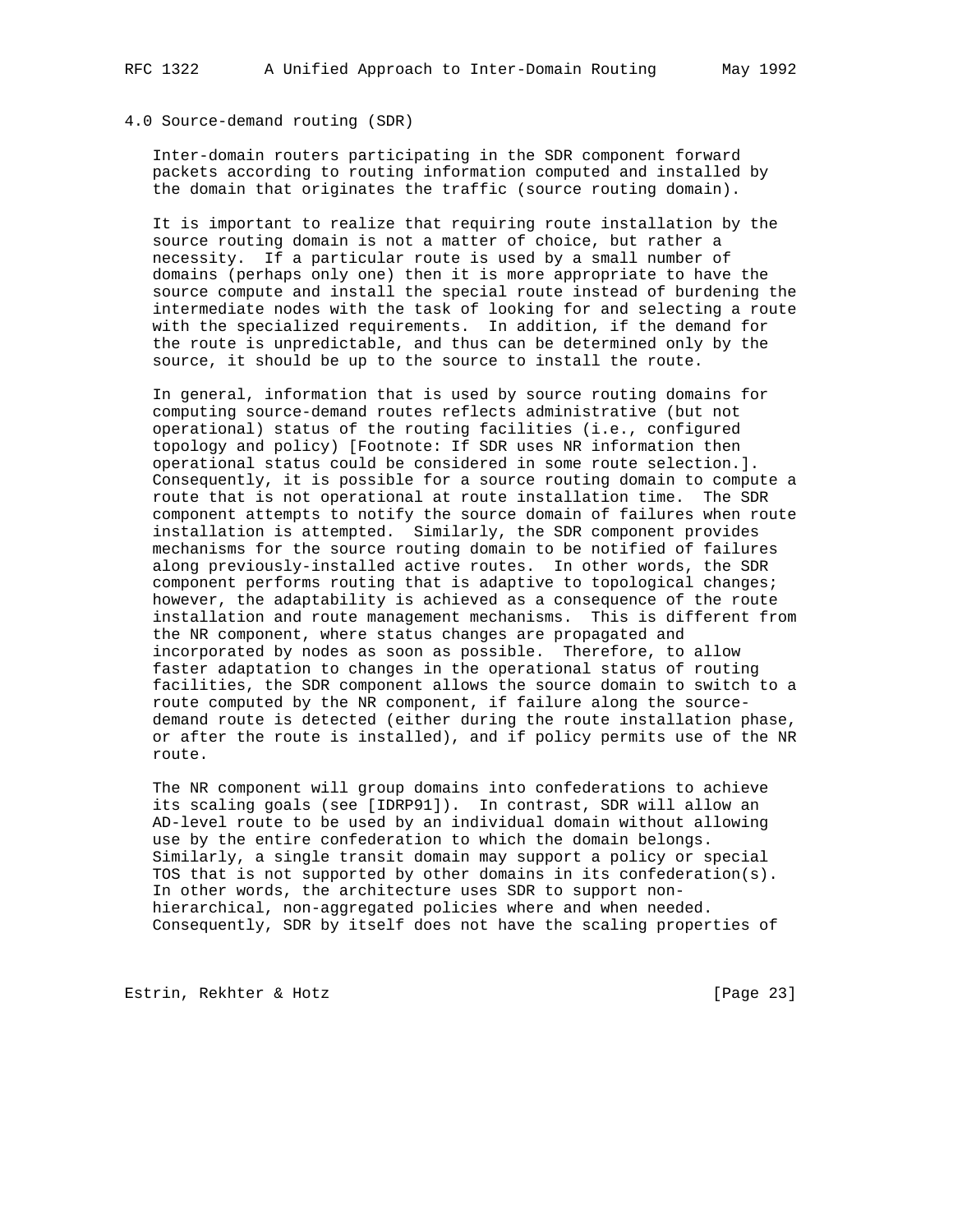### 4.0 Source-demand routing (SDR)

 Inter-domain routers participating in the SDR component forward packets according to routing information computed and installed by the domain that originates the traffic (source routing domain).

 It is important to realize that requiring route installation by the source routing domain is not a matter of choice, but rather a necessity. If a particular route is used by a small number of domains (perhaps only one) then it is more appropriate to have the source compute and install the special route instead of burdening the intermediate nodes with the task of looking for and selecting a route with the specialized requirements. In addition, if the demand for the route is unpredictable, and thus can be determined only by the source, it should be up to the source to install the route.

 In general, information that is used by source routing domains for computing source-demand routes reflects administrative (but not operational) status of the routing facilities (i.e., configured topology and policy) [Footnote: If SDR uses NR information then operational status could be considered in some route selection.]. Consequently, it is possible for a source routing domain to compute a route that is not operational at route installation time. The SDR component attempts to notify the source domain of failures when route installation is attempted. Similarly, the SDR component provides mechanisms for the source routing domain to be notified of failures along previously-installed active routes. In other words, the SDR component performs routing that is adaptive to topological changes; however, the adaptability is achieved as a consequence of the route installation and route management mechanisms. This is different from the NR component, where status changes are propagated and incorporated by nodes as soon as possible. Therefore, to allow faster adaptation to changes in the operational status of routing facilities, the SDR component allows the source domain to switch to a route computed by the NR component, if failure along the source demand route is detected (either during the route installation phase, or after the route is installed), and if policy permits use of the NR route.

 The NR component will group domains into confederations to achieve its scaling goals (see [IDRP91]). In contrast, SDR will allow an AD-level route to be used by an individual domain without allowing use by the entire confederation to which the domain belongs. Similarly, a single transit domain may support a policy or special TOS that is not supported by other domains in its confederation(s). In other words, the architecture uses SDR to support non hierarchical, non-aggregated policies where and when needed. Consequently, SDR by itself does not have the scaling properties of

Estrin, Rekhter & Hotz [Page 23]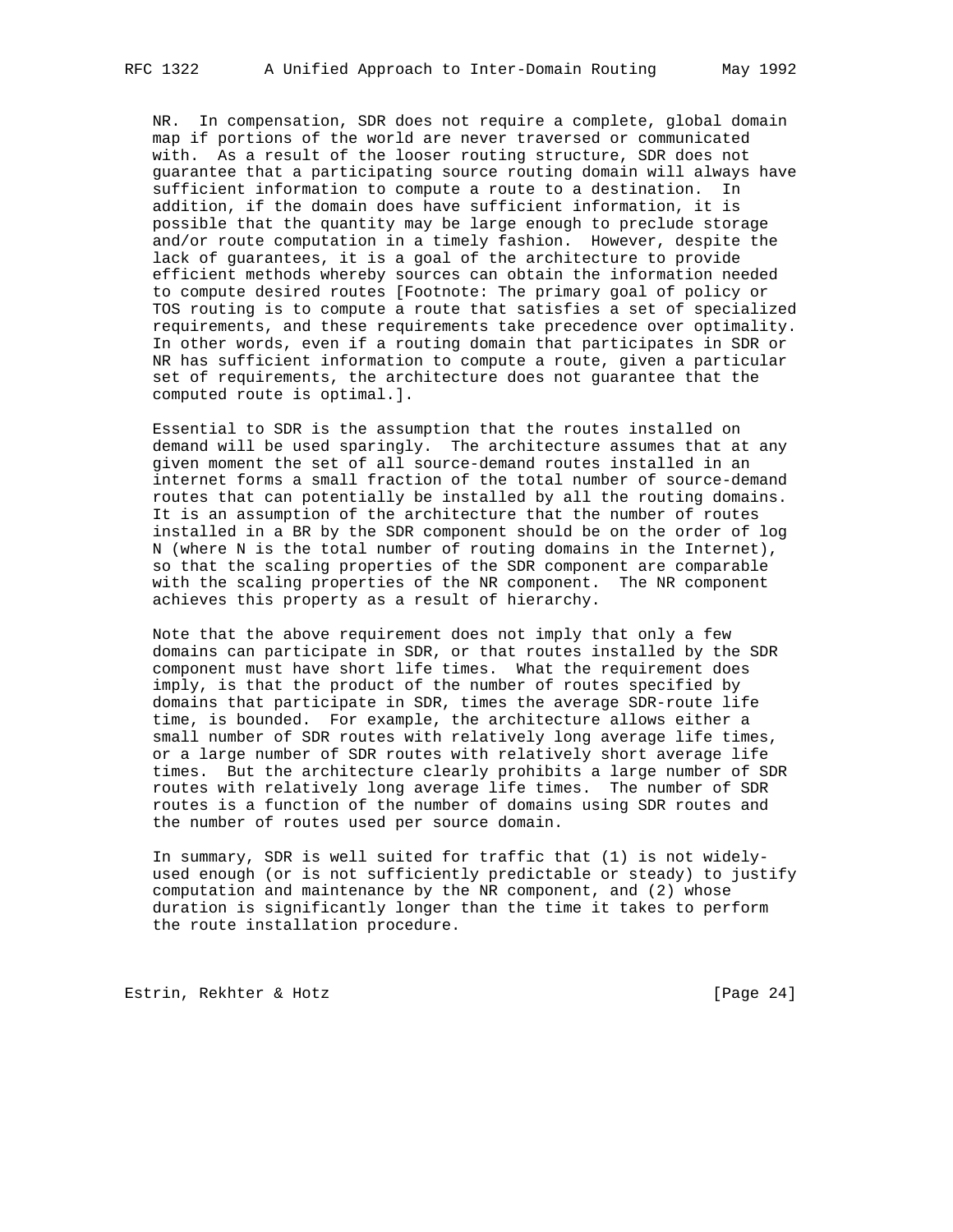NR. In compensation, SDR does not require a complete, global domain map if portions of the world are never traversed or communicated with. As a result of the looser routing structure, SDR does not guarantee that a participating source routing domain will always have sufficient information to compute a route to a destination. In addition, if the domain does have sufficient information, it is possible that the quantity may be large enough to preclude storage and/or route computation in a timely fashion. However, despite the lack of guarantees, it is a goal of the architecture to provide efficient methods whereby sources can obtain the information needed to compute desired routes [Footnote: The primary goal of policy or TOS routing is to compute a route that satisfies a set of specialized requirements, and these requirements take precedence over optimality. In other words, even if a routing domain that participates in SDR or NR has sufficient information to compute a route, given a particular set of requirements, the architecture does not guarantee that the computed route is optimal.].

 Essential to SDR is the assumption that the routes installed on demand will be used sparingly. The architecture assumes that at any given moment the set of all source-demand routes installed in an internet forms a small fraction of the total number of source-demand routes that can potentially be installed by all the routing domains. It is an assumption of the architecture that the number of routes installed in a BR by the SDR component should be on the order of log N (where N is the total number of routing domains in the Internet), so that the scaling properties of the SDR component are comparable with the scaling properties of the NR component. The NR component achieves this property as a result of hierarchy.

 Note that the above requirement does not imply that only a few domains can participate in SDR, or that routes installed by the SDR component must have short life times. What the requirement does imply, is that the product of the number of routes specified by domains that participate in SDR, times the average SDR-route life time, is bounded. For example, the architecture allows either a small number of SDR routes with relatively long average life times, or a large number of SDR routes with relatively short average life times. But the architecture clearly prohibits a large number of SDR routes with relatively long average life times. The number of SDR routes is a function of the number of domains using SDR routes and the number of routes used per source domain.

 In summary, SDR is well suited for traffic that (1) is not widely used enough (or is not sufficiently predictable or steady) to justify computation and maintenance by the NR component, and (2) whose duration is significantly longer than the time it takes to perform the route installation procedure.

Estrin, Rekhter & Hotz [Page 24]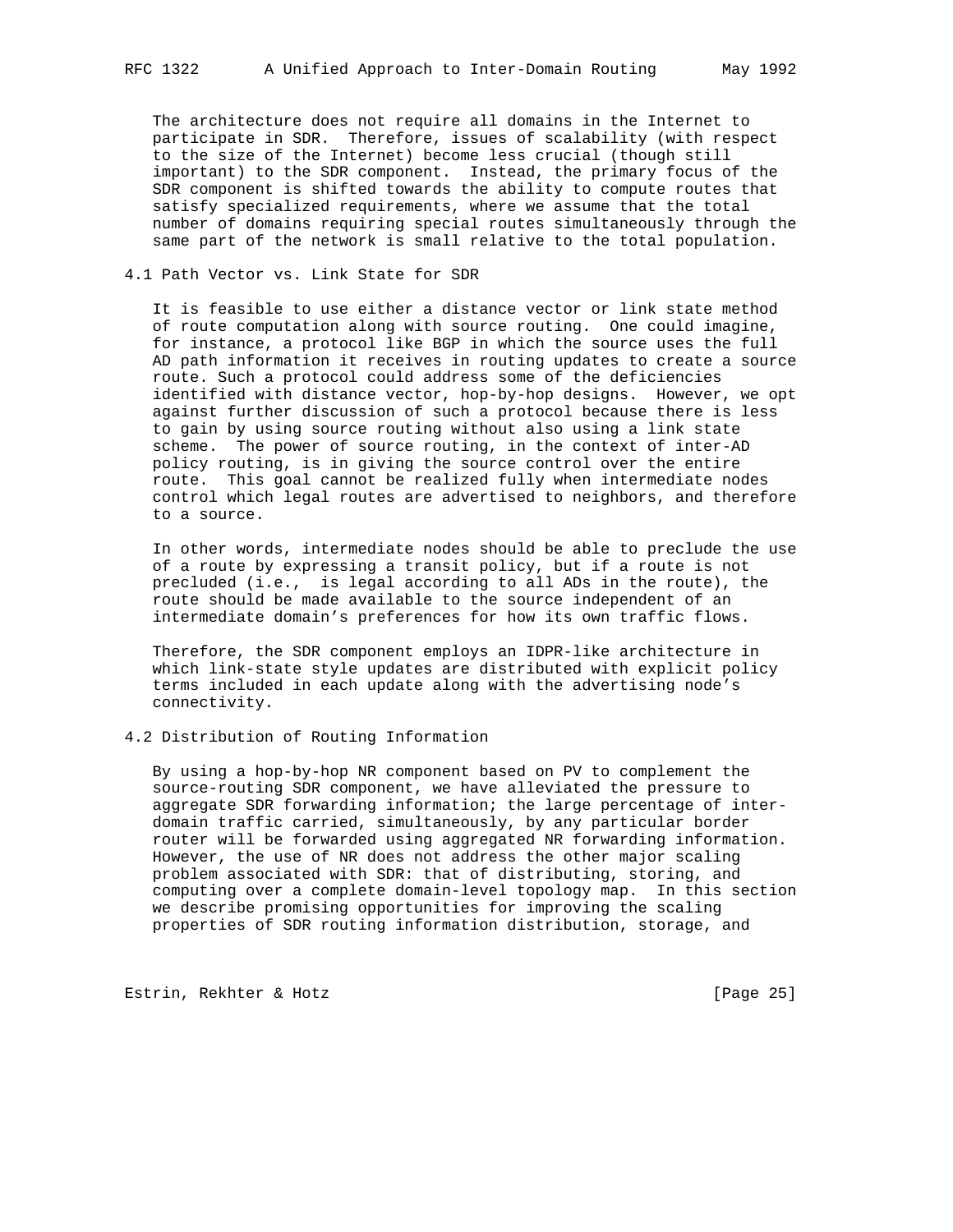The architecture does not require all domains in the Internet to participate in SDR. Therefore, issues of scalability (with respect to the size of the Internet) become less crucial (though still important) to the SDR component. Instead, the primary focus of the SDR component is shifted towards the ability to compute routes that satisfy specialized requirements, where we assume that the total number of domains requiring special routes simultaneously through the same part of the network is small relative to the total population.

## 4.1 Path Vector vs. Link State for SDR

 It is feasible to use either a distance vector or link state method of route computation along with source routing. One could imagine, for instance, a protocol like BGP in which the source uses the full AD path information it receives in routing updates to create a source route. Such a protocol could address some of the deficiencies identified with distance vector, hop-by-hop designs. However, we opt against further discussion of such a protocol because there is less to gain by using source routing without also using a link state scheme. The power of source routing, in the context of inter-AD policy routing, is in giving the source control over the entire route. This goal cannot be realized fully when intermediate nodes control which legal routes are advertised to neighbors, and therefore to a source.

 In other words, intermediate nodes should be able to preclude the use of a route by expressing a transit policy, but if a route is not precluded (i.e., is legal according to all ADs in the route), the route should be made available to the source independent of an intermediate domain's preferences for how its own traffic flows.

 Therefore, the SDR component employs an IDPR-like architecture in which link-state style updates are distributed with explicit policy terms included in each update along with the advertising node's connectivity.

## 4.2 Distribution of Routing Information

 By using a hop-by-hop NR component based on PV to complement the source-routing SDR component, we have alleviated the pressure to aggregate SDR forwarding information; the large percentage of inter domain traffic carried, simultaneously, by any particular border router will be forwarded using aggregated NR forwarding information. However, the use of NR does not address the other major scaling problem associated with SDR: that of distributing, storing, and computing over a complete domain-level topology map. In this section we describe promising opportunities for improving the scaling properties of SDR routing information distribution, storage, and

Estrin, Rekhter & Hotz [Page 25]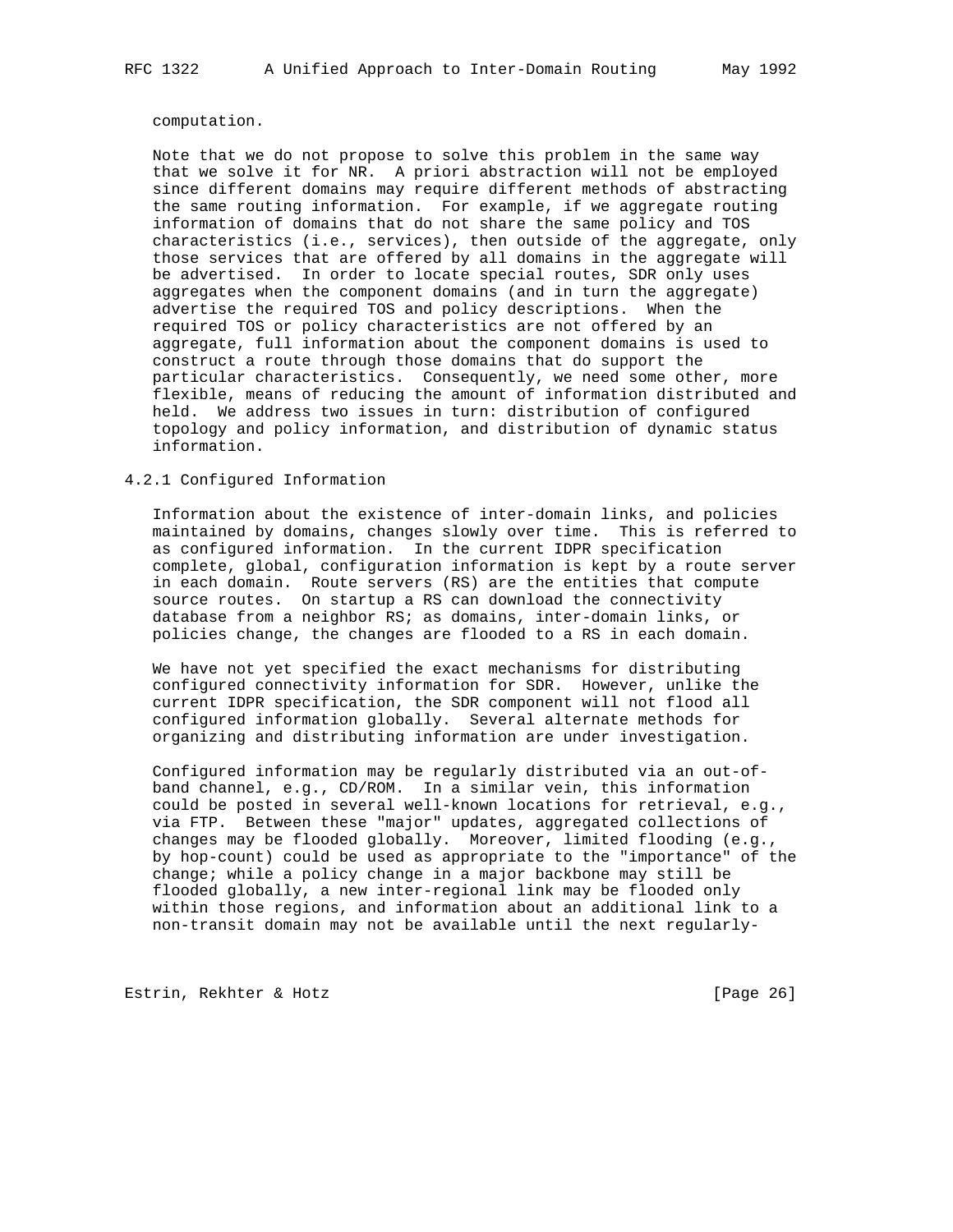#### computation.

 Note that we do not propose to solve this problem in the same way that we solve it for NR. A priori abstraction will not be employed since different domains may require different methods of abstracting the same routing information. For example, if we aggregate routing information of domains that do not share the same policy and TOS characteristics (i.e., services), then outside of the aggregate, only those services that are offered by all domains in the aggregate will be advertised. In order to locate special routes, SDR only uses aggregates when the component domains (and in turn the aggregate) advertise the required TOS and policy descriptions. When the required TOS or policy characteristics are not offered by an aggregate, full information about the component domains is used to construct a route through those domains that do support the particular characteristics. Consequently, we need some other, more flexible, means of reducing the amount of information distributed and held. We address two issues in turn: distribution of configured topology and policy information, and distribution of dynamic status information.

#### 4.2.1 Configured Information

 Information about the existence of inter-domain links, and policies maintained by domains, changes slowly over time. This is referred to as configured information. In the current IDPR specification complete, global, configuration information is kept by a route server in each domain. Route servers (RS) are the entities that compute source routes. On startup a RS can download the connectivity database from a neighbor RS; as domains, inter-domain links, or policies change, the changes are flooded to a RS in each domain.

 We have not yet specified the exact mechanisms for distributing configured connectivity information for SDR. However, unlike the current IDPR specification, the SDR component will not flood all configured information globally. Several alternate methods for organizing and distributing information are under investigation.

 Configured information may be regularly distributed via an out-of band channel, e.g., CD/ROM. In a similar vein, this information could be posted in several well-known locations for retrieval, e.g., via FTP. Between these "major" updates, aggregated collections of changes may be flooded globally. Moreover, limited flooding (e.g., by hop-count) could be used as appropriate to the "importance" of the change; while a policy change in a major backbone may still be flooded globally, a new inter-regional link may be flooded only within those regions, and information about an additional link to a non-transit domain may not be available until the next regularly-

Estrin, Rekhter & Hotz [Page 26]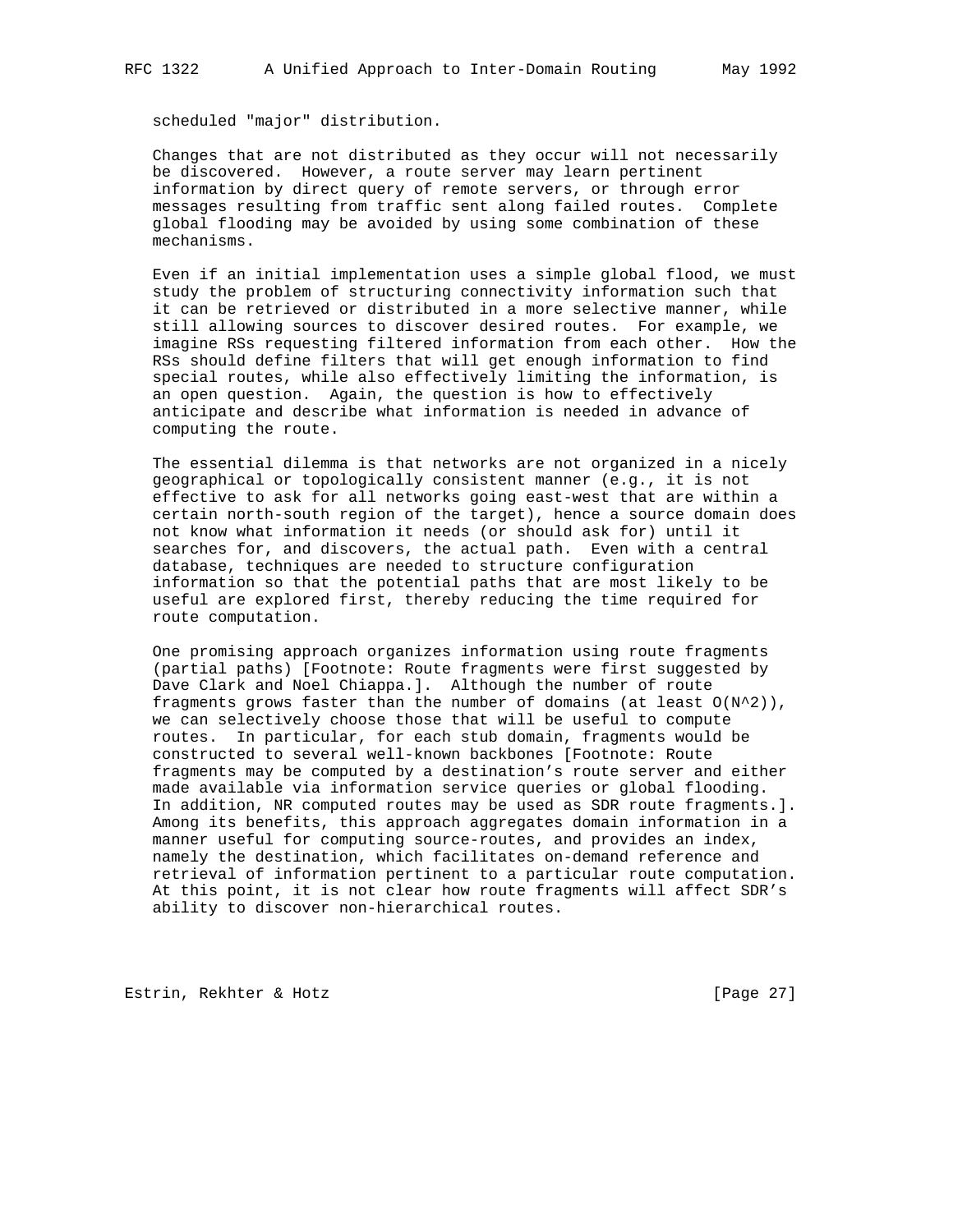scheduled "major" distribution.

 Changes that are not distributed as they occur will not necessarily be discovered. However, a route server may learn pertinent information by direct query of remote servers, or through error messages resulting from traffic sent along failed routes. Complete global flooding may be avoided by using some combination of these mechanisms.

 Even if an initial implementation uses a simple global flood, we must study the problem of structuring connectivity information such that it can be retrieved or distributed in a more selective manner, while still allowing sources to discover desired routes. For example, we imagine RSs requesting filtered information from each other. How the RSs should define filters that will get enough information to find special routes, while also effectively limiting the information, is an open question. Again, the question is how to effectively anticipate and describe what information is needed in advance of computing the route.

 The essential dilemma is that networks are not organized in a nicely geographical or topologically consistent manner (e.g., it is not effective to ask for all networks going east-west that are within a certain north-south region of the target), hence a source domain does not know what information it needs (or should ask for) until it searches for, and discovers, the actual path. Even with a central database, techniques are needed to structure configuration information so that the potential paths that are most likely to be useful are explored first, thereby reducing the time required for route computation.

 One promising approach organizes information using route fragments (partial paths) [Footnote: Route fragments were first suggested by Dave Clark and Noel Chiappa.]. Although the number of route fragments grows faster than the number of domains (at least  $O(N^2)$ ), we can selectively choose those that will be useful to compute routes. In particular, for each stub domain, fragments would be constructed to several well-known backbones [Footnote: Route fragments may be computed by a destination's route server and either made available via information service queries or global flooding. In addition, NR computed routes may be used as SDR route fragments.]. Among its benefits, this approach aggregates domain information in a manner useful for computing source-routes, and provides an index, namely the destination, which facilitates on-demand reference and retrieval of information pertinent to a particular route computation. At this point, it is not clear how route fragments will affect SDR's ability to discover non-hierarchical routes.

Estrin, Rekhter & Hotz [Page 27]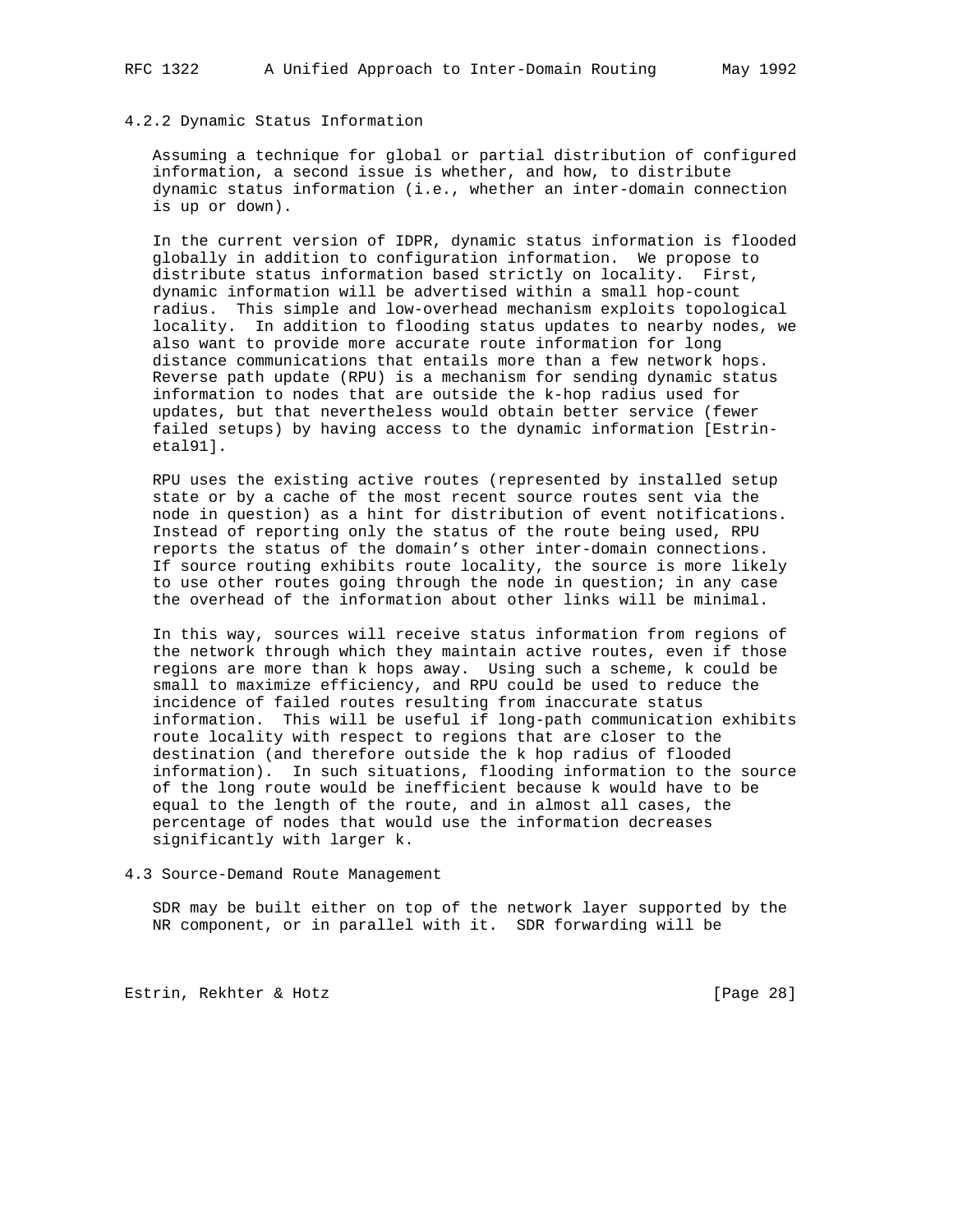### 4.2.2 Dynamic Status Information

 Assuming a technique for global or partial distribution of configured information, a second issue is whether, and how, to distribute dynamic status information (i.e., whether an inter-domain connection is up or down).

 In the current version of IDPR, dynamic status information is flooded globally in addition to configuration information. We propose to distribute status information based strictly on locality. First, dynamic information will be advertised within a small hop-count radius. This simple and low-overhead mechanism exploits topological locality. In addition to flooding status updates to nearby nodes, we also want to provide more accurate route information for long distance communications that entails more than a few network hops. Reverse path update (RPU) is a mechanism for sending dynamic status information to nodes that are outside the k-hop radius used for updates, but that nevertheless would obtain better service (fewer failed setups) by having access to the dynamic information [Estrin etal91].

 RPU uses the existing active routes (represented by installed setup state or by a cache of the most recent source routes sent via the node in question) as a hint for distribution of event notifications. Instead of reporting only the status of the route being used, RPU reports the status of the domain's other inter-domain connections. If source routing exhibits route locality, the source is more likely to use other routes going through the node in question; in any case the overhead of the information about other links will be minimal.

 In this way, sources will receive status information from regions of the network through which they maintain active routes, even if those regions are more than k hops away. Using such a scheme, k could be small to maximize efficiency, and RPU could be used to reduce the incidence of failed routes resulting from inaccurate status information. This will be useful if long-path communication exhibits route locality with respect to regions that are closer to the destination (and therefore outside the k hop radius of flooded information). In such situations, flooding information to the source of the long route would be inefficient because k would have to be equal to the length of the route, and in almost all cases, the percentage of nodes that would use the information decreases significantly with larger k.

4.3 Source-Demand Route Management

 SDR may be built either on top of the network layer supported by the NR component, or in parallel with it. SDR forwarding will be

Estrin, Rekhter & Hotz [Page 28]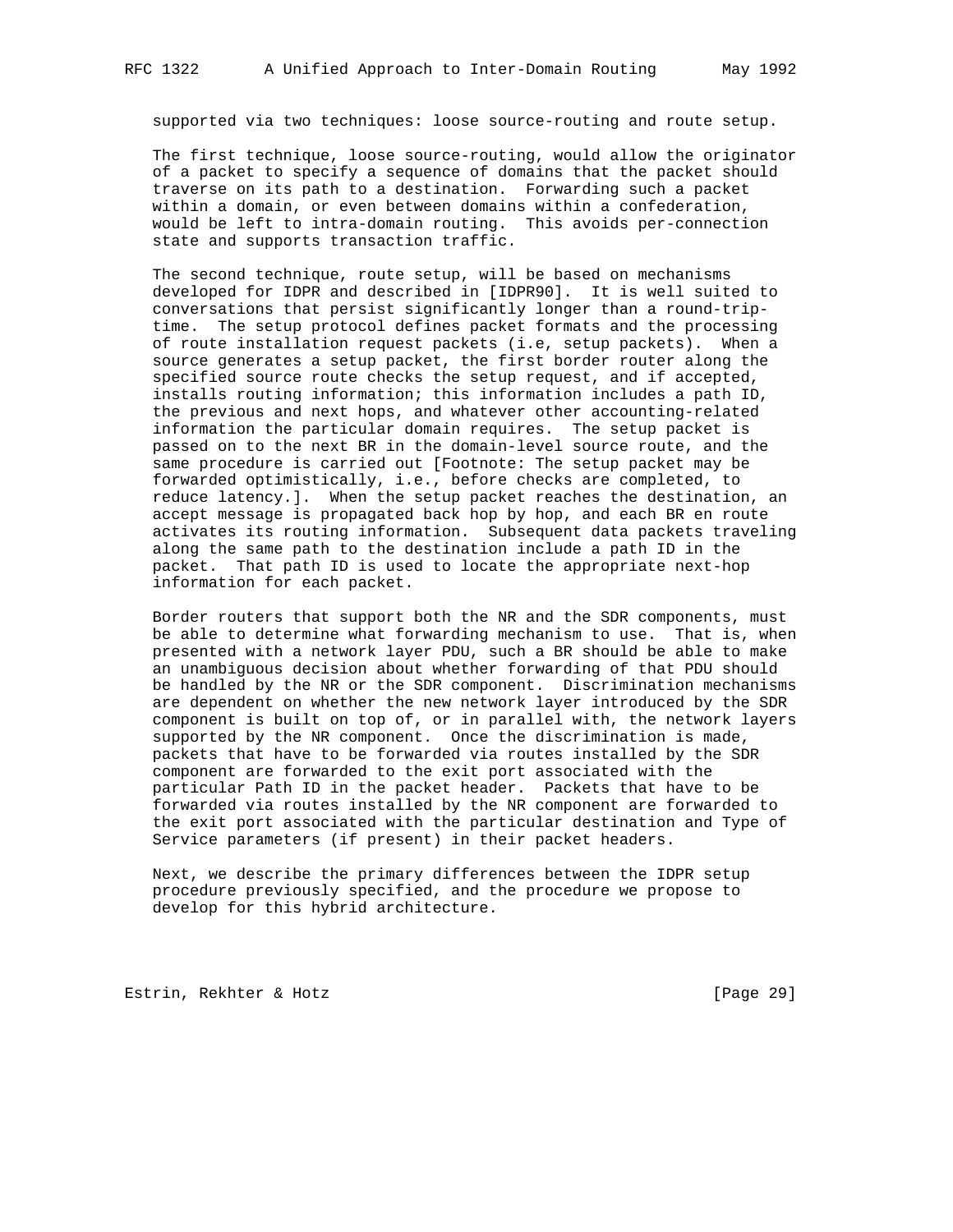supported via two techniques: loose source-routing and route setup.

 The first technique, loose source-routing, would allow the originator of a packet to specify a sequence of domains that the packet should traverse on its path to a destination. Forwarding such a packet within a domain, or even between domains within a confederation, would be left to intra-domain routing. This avoids per-connection state and supports transaction traffic.

 The second technique, route setup, will be based on mechanisms developed for IDPR and described in [IDPR90]. It is well suited to conversations that persist significantly longer than a round-trip time. The setup protocol defines packet formats and the processing of route installation request packets (i.e, setup packets). When a source generates a setup packet, the first border router along the specified source route checks the setup request, and if accepted, installs routing information; this information includes a path ID, the previous and next hops, and whatever other accounting-related information the particular domain requires. The setup packet is passed on to the next BR in the domain-level source route, and the same procedure is carried out [Footnote: The setup packet may be forwarded optimistically, i.e., before checks are completed, to reduce latency.]. When the setup packet reaches the destination, an accept message is propagated back hop by hop, and each BR en route activates its routing information. Subsequent data packets traveling along the same path to the destination include a path ID in the packet. That path ID is used to locate the appropriate next-hop information for each packet.

 Border routers that support both the NR and the SDR components, must be able to determine what forwarding mechanism to use. That is, when presented with a network layer PDU, such a BR should be able to make an unambiguous decision about whether forwarding of that PDU should be handled by the NR or the SDR component. Discrimination mechanisms are dependent on whether the new network layer introduced by the SDR component is built on top of, or in parallel with, the network layers supported by the NR component. Once the discrimination is made, packets that have to be forwarded via routes installed by the SDR component are forwarded to the exit port associated with the particular Path ID in the packet header. Packets that have to be forwarded via routes installed by the NR component are forwarded to the exit port associated with the particular destination and Type of Service parameters (if present) in their packet headers.

 Next, we describe the primary differences between the IDPR setup procedure previously specified, and the procedure we propose to develop for this hybrid architecture.

Estrin, Rekhter & Hotz [Page 29]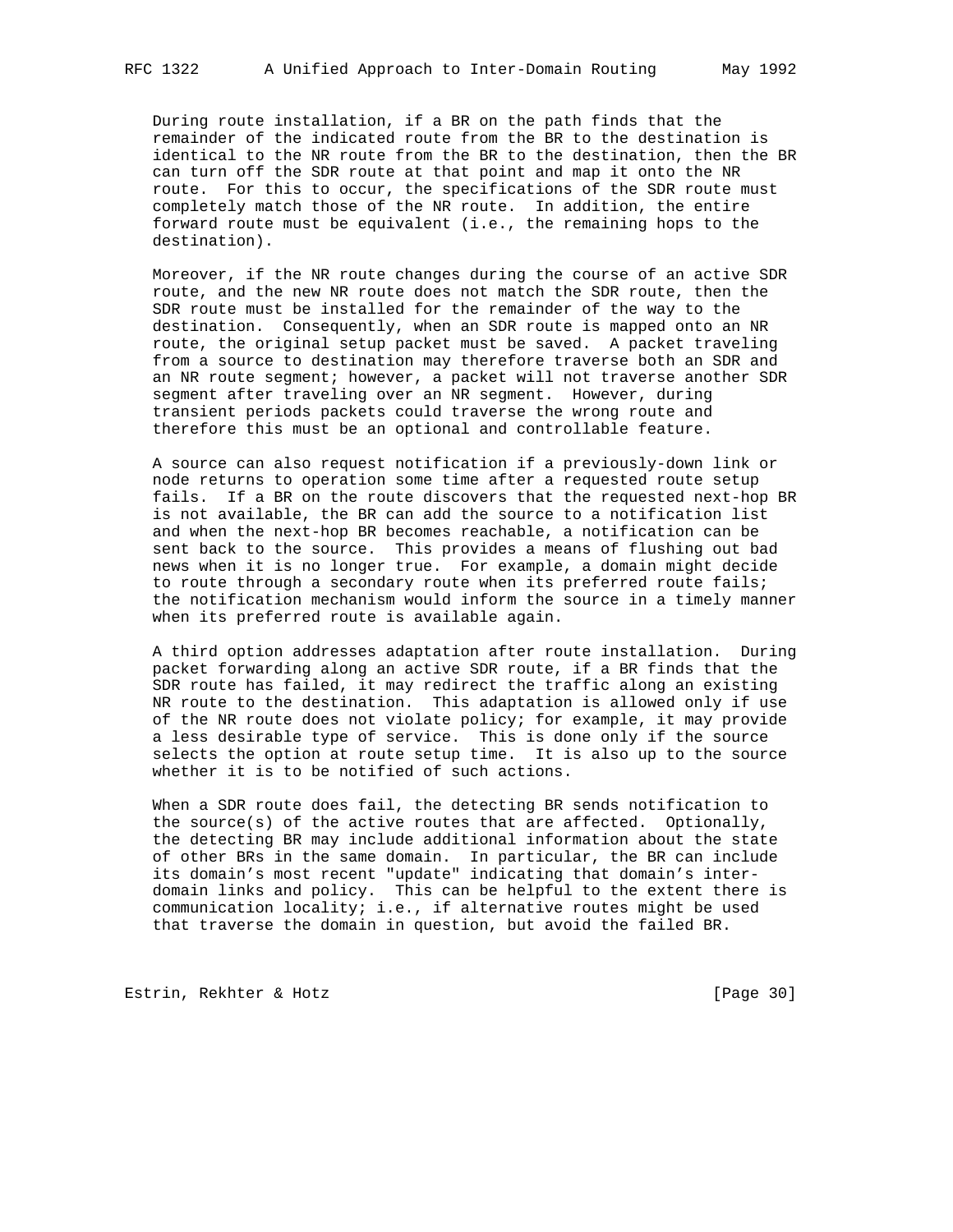During route installation, if a BR on the path finds that the remainder of the indicated route from the BR to the destination is identical to the NR route from the BR to the destination, then the BR can turn off the SDR route at that point and map it onto the NR route. For this to occur, the specifications of the SDR route must completely match those of the NR route. In addition, the entire forward route must be equivalent (i.e., the remaining hops to the destination).

 Moreover, if the NR route changes during the course of an active SDR route, and the new NR route does not match the SDR route, then the SDR route must be installed for the remainder of the way to the destination. Consequently, when an SDR route is mapped onto an NR route, the original setup packet must be saved. A packet traveling from a source to destination may therefore traverse both an SDR and an NR route segment; however, a packet will not traverse another SDR segment after traveling over an NR segment. However, during transient periods packets could traverse the wrong route and therefore this must be an optional and controllable feature.

 A source can also request notification if a previously-down link or node returns to operation some time after a requested route setup fails. If a BR on the route discovers that the requested next-hop BR is not available, the BR can add the source to a notification list and when the next-hop BR becomes reachable, a notification can be sent back to the source. This provides a means of flushing out bad news when it is no longer true. For example, a domain might decide to route through a secondary route when its preferred route fails; the notification mechanism would inform the source in a timely manner when its preferred route is available again.

 A third option addresses adaptation after route installation. During packet forwarding along an active SDR route, if a BR finds that the SDR route has failed, it may redirect the traffic along an existing NR route to the destination. This adaptation is allowed only if use of the NR route does not violate policy; for example, it may provide a less desirable type of service. This is done only if the source selects the option at route setup time. It is also up to the source whether it is to be notified of such actions.

 When a SDR route does fail, the detecting BR sends notification to the source(s) of the active routes that are affected. Optionally, the detecting BR may include additional information about the state of other BRs in the same domain. In particular, the BR can include its domain's most recent "update" indicating that domain's inter domain links and policy. This can be helpful to the extent there is communication locality; i.e., if alternative routes might be used that traverse the domain in question, but avoid the failed BR.

Estrin, Rekhter & Hotz [Page 30]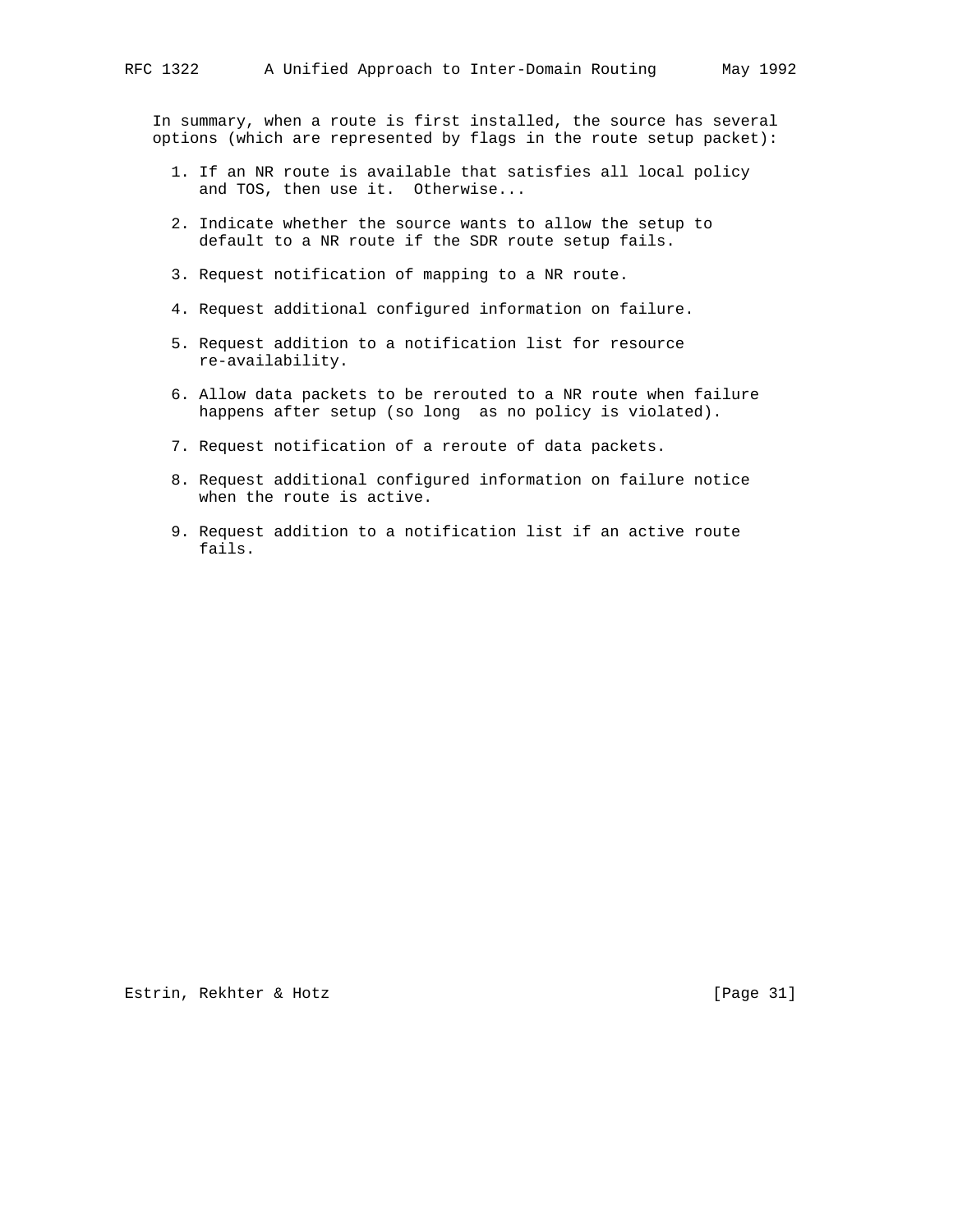In summary, when a route is first installed, the source has several options (which are represented by flags in the route setup packet):

- 1. If an NR route is available that satisfies all local policy and TOS, then use it. Otherwise...
- 2. Indicate whether the source wants to allow the setup to default to a NR route if the SDR route setup fails.
- 3. Request notification of mapping to a NR route.
- 4. Request additional configured information on failure.
- 5. Request addition to a notification list for resource re-availability.
- 6. Allow data packets to be rerouted to a NR route when failure happens after setup (so long as no policy is violated).
- 7. Request notification of a reroute of data packets.
- 8. Request additional configured information on failure notice when the route is active.
- 9. Request addition to a notification list if an active route fails.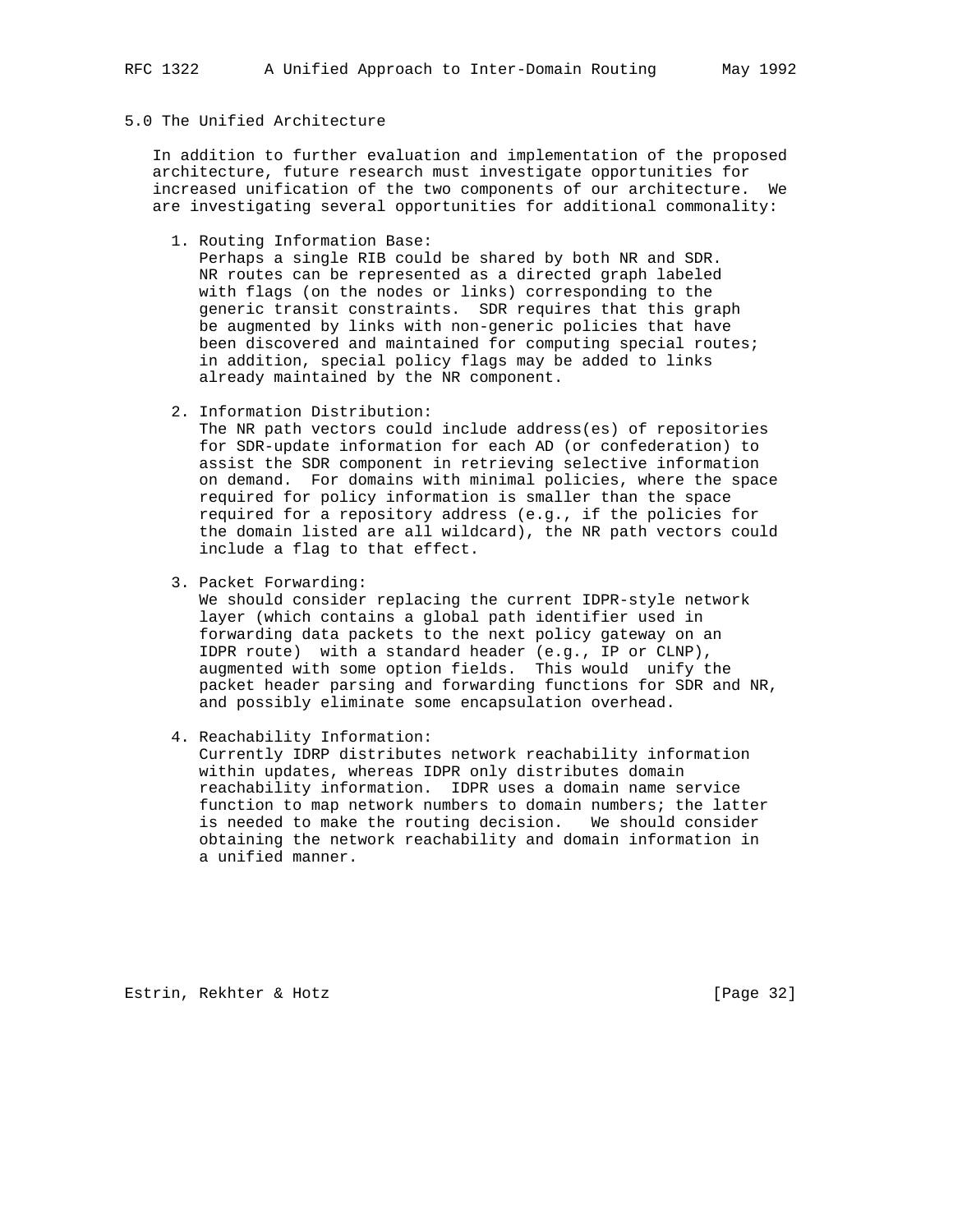# 5.0 The Unified Architecture

 In addition to further evaluation and implementation of the proposed architecture, future research must investigate opportunities for increased unification of the two components of our architecture. We are investigating several opportunities for additional commonality:

1. Routing Information Base:

 Perhaps a single RIB could be shared by both NR and SDR. NR routes can be represented as a directed graph labeled with flags (on the nodes or links) corresponding to the generic transit constraints. SDR requires that this graph be augmented by links with non-generic policies that have been discovered and maintained for computing special routes; in addition, special policy flags may be added to links already maintained by the NR component.

2. Information Distribution:

 The NR path vectors could include address(es) of repositories for SDR-update information for each AD (or confederation) to assist the SDR component in retrieving selective information on demand. For domains with minimal policies, where the space required for policy information is smaller than the space required for a repository address (e.g., if the policies for the domain listed are all wildcard), the NR path vectors could include a flag to that effect.

3. Packet Forwarding:

 We should consider replacing the current IDPR-style network layer (which contains a global path identifier used in forwarding data packets to the next policy gateway on an IDPR route) with a standard header (e.g., IP or CLNP), augmented with some option fields. This would unify the packet header parsing and forwarding functions for SDR and NR, and possibly eliminate some encapsulation overhead.

4. Reachability Information:

 Currently IDRP distributes network reachability information within updates, whereas IDPR only distributes domain reachability information. IDPR uses a domain name service function to map network numbers to domain numbers; the latter is needed to make the routing decision. We should consider obtaining the network reachability and domain information in a unified manner.

Estrin, Rekhter & Hotz [Page 32]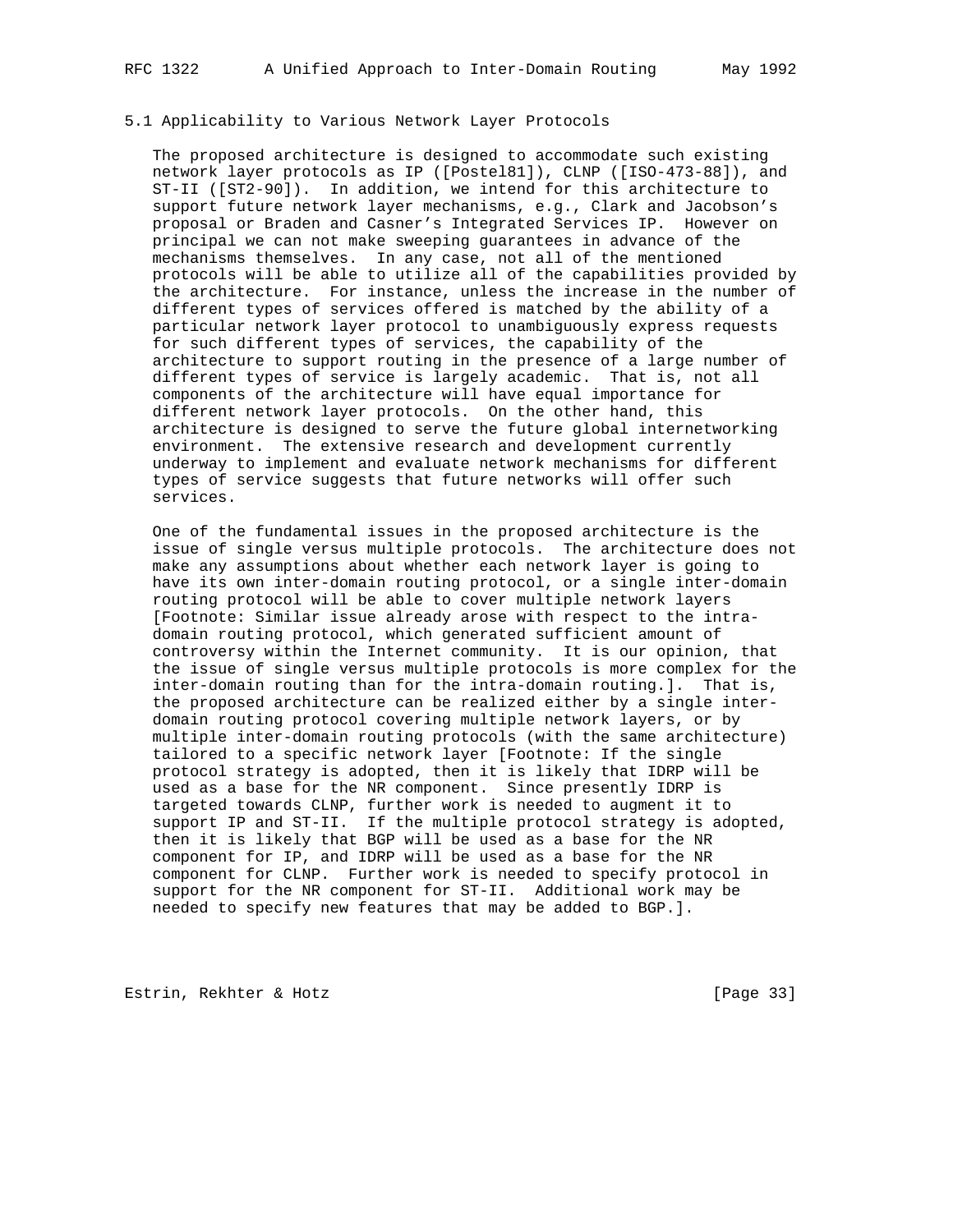# 5.1 Applicability to Various Network Layer Protocols

 The proposed architecture is designed to accommodate such existing network layer protocols as IP ([Postel81]), CLNP ([ISO-473-88]), and ST-II ([ST2-90]). In addition, we intend for this architecture to support future network layer mechanisms, e.g., Clark and Jacobson's proposal or Braden and Casner's Integrated Services IP. However on principal we can not make sweeping guarantees in advance of the mechanisms themselves. In any case, not all of the mentioned protocols will be able to utilize all of the capabilities provided by the architecture. For instance, unless the increase in the number of different types of services offered is matched by the ability of a particular network layer protocol to unambiguously express requests for such different types of services, the capability of the architecture to support routing in the presence of a large number of different types of service is largely academic. That is, not all components of the architecture will have equal importance for different network layer protocols. On the other hand, this architecture is designed to serve the future global internetworking environment. The extensive research and development currently underway to implement and evaluate network mechanisms for different types of service suggests that future networks will offer such services.

 One of the fundamental issues in the proposed architecture is the issue of single versus multiple protocols. The architecture does not make any assumptions about whether each network layer is going to have its own inter-domain routing protocol, or a single inter-domain routing protocol will be able to cover multiple network layers [Footnote: Similar issue already arose with respect to the intra domain routing protocol, which generated sufficient amount of controversy within the Internet community. It is our opinion, that the issue of single versus multiple protocols is more complex for the inter-domain routing than for the intra-domain routing.]. That is, the proposed architecture can be realized either by a single inter domain routing protocol covering multiple network layers, or by multiple inter-domain routing protocols (with the same architecture) tailored to a specific network layer [Footnote: If the single protocol strategy is adopted, then it is likely that IDRP will be used as a base for the NR component. Since presently IDRP is targeted towards CLNP, further work is needed to augment it to support IP and ST-II. If the multiple protocol strategy is adopted, then it is likely that BGP will be used as a base for the NR component for IP, and IDRP will be used as a base for the NR component for CLNP. Further work is needed to specify protocol in support for the NR component for ST-II. Additional work may be needed to specify new features that may be added to BGP.].

Estrin, Rekhter & Hotz [Page 33]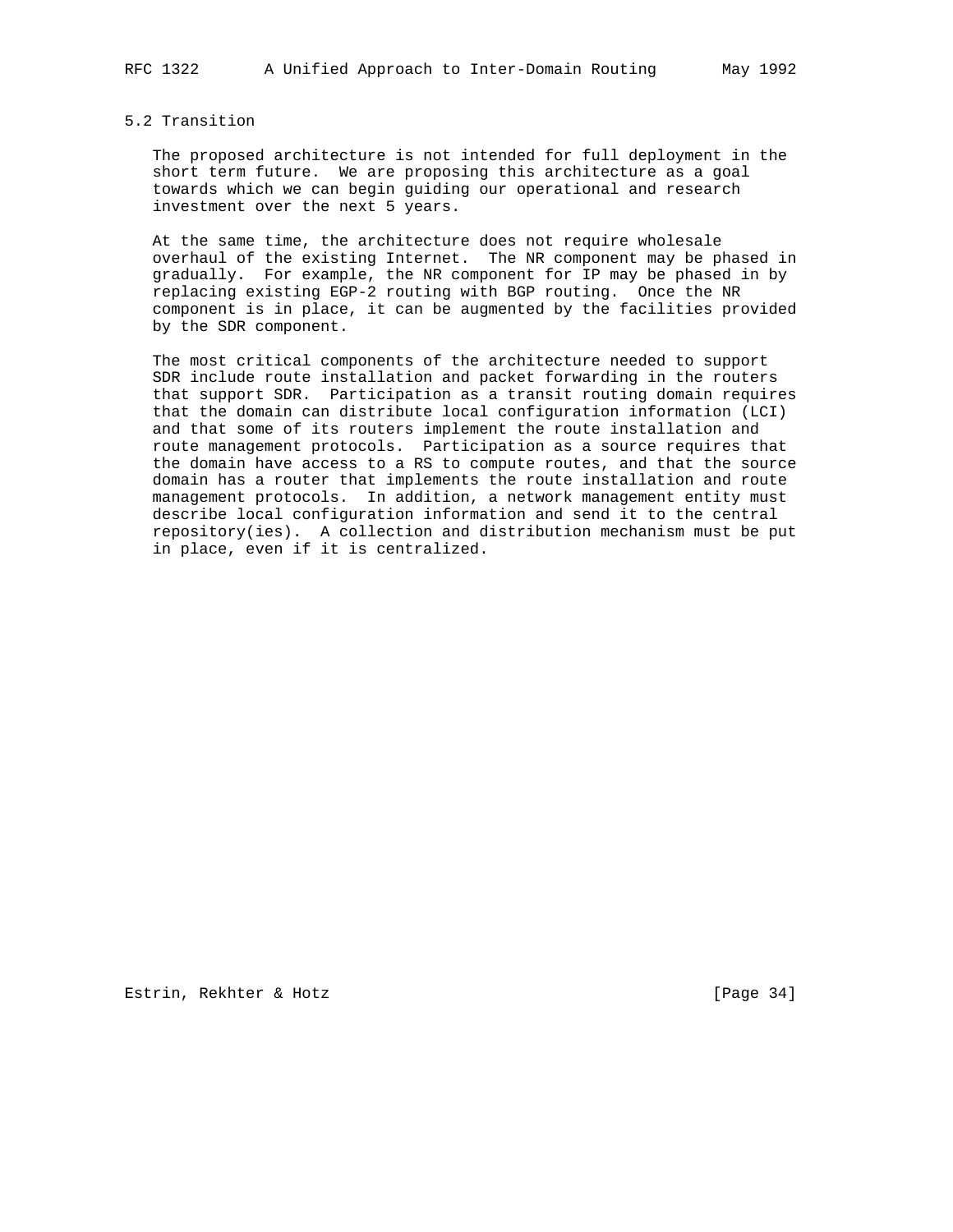## 5.2 Transition

 The proposed architecture is not intended for full deployment in the short term future. We are proposing this architecture as a goal towards which we can begin guiding our operational and research investment over the next 5 years.

 At the same time, the architecture does not require wholesale overhaul of the existing Internet. The NR component may be phased in gradually. For example, the NR component for IP may be phased in by replacing existing EGP-2 routing with BGP routing. Once the NR component is in place, it can be augmented by the facilities provided by the SDR component.

 The most critical components of the architecture needed to support SDR include route installation and packet forwarding in the routers that support SDR. Participation as a transit routing domain requires that the domain can distribute local configuration information (LCI) and that some of its routers implement the route installation and route management protocols. Participation as a source requires that the domain have access to a RS to compute routes, and that the source domain has a router that implements the route installation and route management protocols. In addition, a network management entity must describe local configuration information and send it to the central repository(ies). A collection and distribution mechanism must be put in place, even if it is centralized.

Estrin, Rekhter & Hotz [Page 34]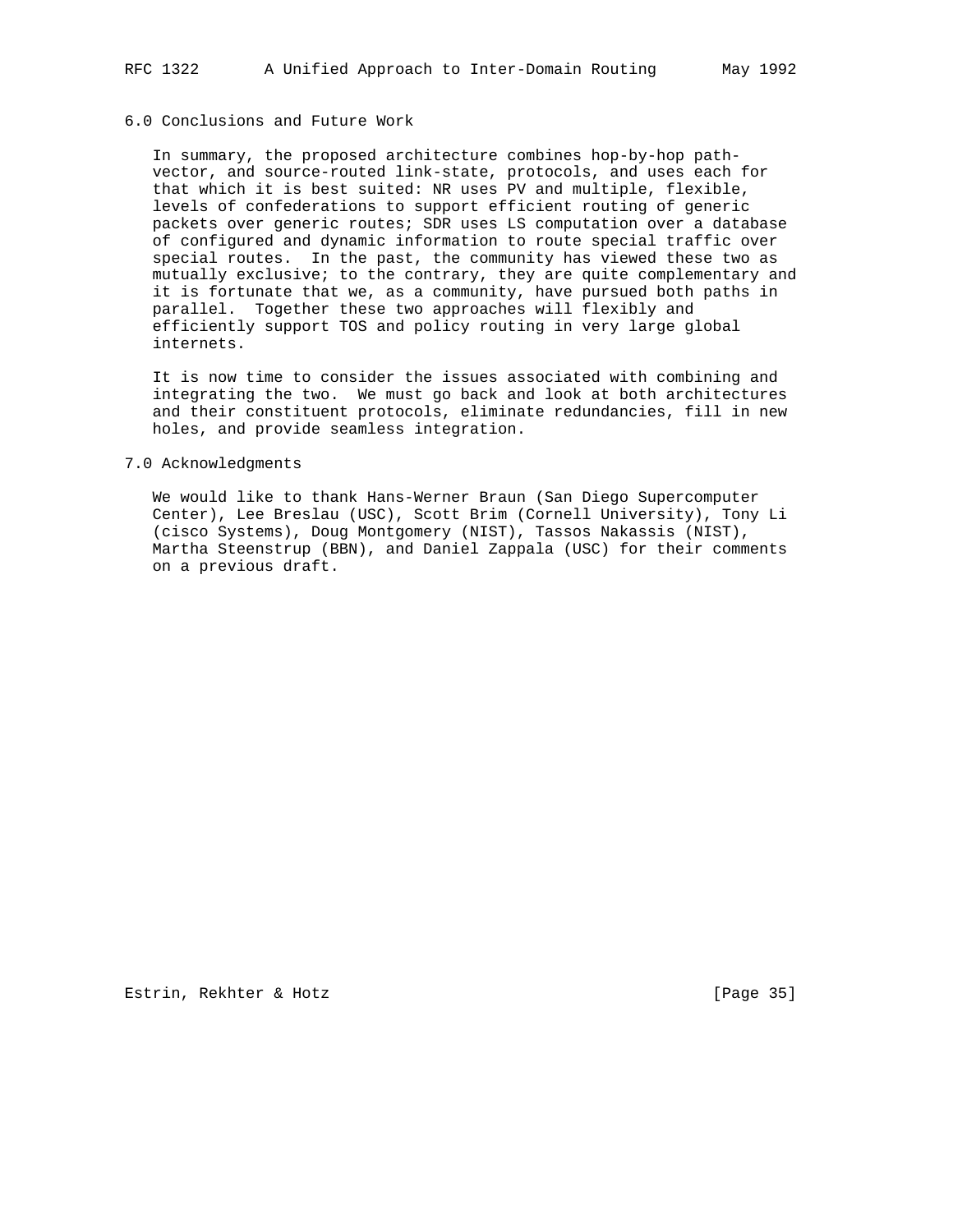# 6.0 Conclusions and Future Work

 In summary, the proposed architecture combines hop-by-hop path vector, and source-routed link-state, protocols, and uses each for that which it is best suited: NR uses PV and multiple, flexible, levels of confederations to support efficient routing of generic packets over generic routes; SDR uses LS computation over a database of configured and dynamic information to route special traffic over special routes. In the past, the community has viewed these two as mutually exclusive; to the contrary, they are quite complementary and it is fortunate that we, as a community, have pursued both paths in parallel. Together these two approaches will flexibly and efficiently support TOS and policy routing in very large global internets.

 It is now time to consider the issues associated with combining and integrating the two. We must go back and look at both architectures and their constituent protocols, eliminate redundancies, fill in new holes, and provide seamless integration.

#### 7.0 Acknowledgments

 We would like to thank Hans-Werner Braun (San Diego Supercomputer Center), Lee Breslau (USC), Scott Brim (Cornell University), Tony Li (cisco Systems), Doug Montgomery (NIST), Tassos Nakassis (NIST), Martha Steenstrup (BBN), and Daniel Zappala (USC) for their comments on a previous draft.

Estrin, Rekhter & Hotz [Page 35]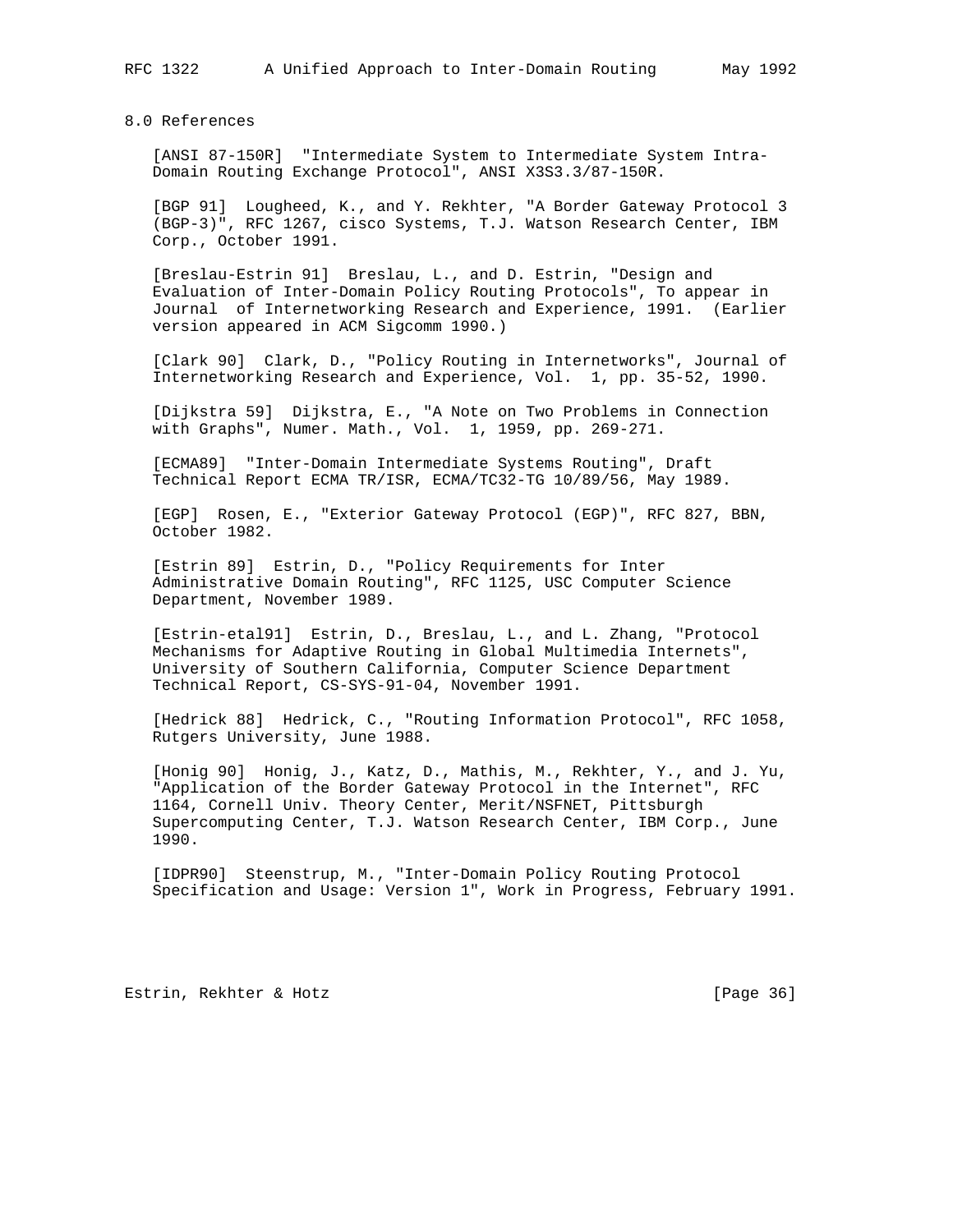8.0 References

 [ANSI 87-150R] "Intermediate System to Intermediate System Intra- Domain Routing Exchange Protocol", ANSI X3S3.3/87-150R.

 [BGP 91] Lougheed, K., and Y. Rekhter, "A Border Gateway Protocol 3 (BGP-3)", RFC 1267, cisco Systems, T.J. Watson Research Center, IBM Corp., October 1991.

 [Breslau-Estrin 91] Breslau, L., and D. Estrin, "Design and Evaluation of Inter-Domain Policy Routing Protocols", To appear in Journal of Internetworking Research and Experience, 1991. (Earlier version appeared in ACM Sigcomm 1990.)

 [Clark 90] Clark, D., "Policy Routing in Internetworks", Journal of Internetworking Research and Experience, Vol. 1, pp. 35-52, 1990.

 [Dijkstra 59] Dijkstra, E., "A Note on Two Problems in Connection with Graphs", Numer. Math., Vol. 1, 1959, pp. 269-271.

 [ECMA89] "Inter-Domain Intermediate Systems Routing", Draft Technical Report ECMA TR/ISR, ECMA/TC32-TG 10/89/56, May 1989.

 [EGP] Rosen, E., "Exterior Gateway Protocol (EGP)", RFC 827, BBN, October 1982.

 [Estrin 89] Estrin, D., "Policy Requirements for Inter Administrative Domain Routing", RFC 1125, USC Computer Science Department, November 1989.

 [Estrin-etal91] Estrin, D., Breslau, L., and L. Zhang, "Protocol Mechanisms for Adaptive Routing in Global Multimedia Internets", University of Southern California, Computer Science Department Technical Report, CS-SYS-91-04, November 1991.

 [Hedrick 88] Hedrick, C., "Routing Information Protocol", RFC 1058, Rutgers University, June 1988.

 [Honig 90] Honig, J., Katz, D., Mathis, M., Rekhter, Y., and J. Yu, "Application of the Border Gateway Protocol in the Internet", RFC 1164, Cornell Univ. Theory Center, Merit/NSFNET, Pittsburgh Supercomputing Center, T.J. Watson Research Center, IBM Corp., June 1990.

 [IDPR90] Steenstrup, M., "Inter-Domain Policy Routing Protocol Specification and Usage: Version 1", Work in Progress, February 1991.

Estrin, Rekhter & Hotz [Page 36]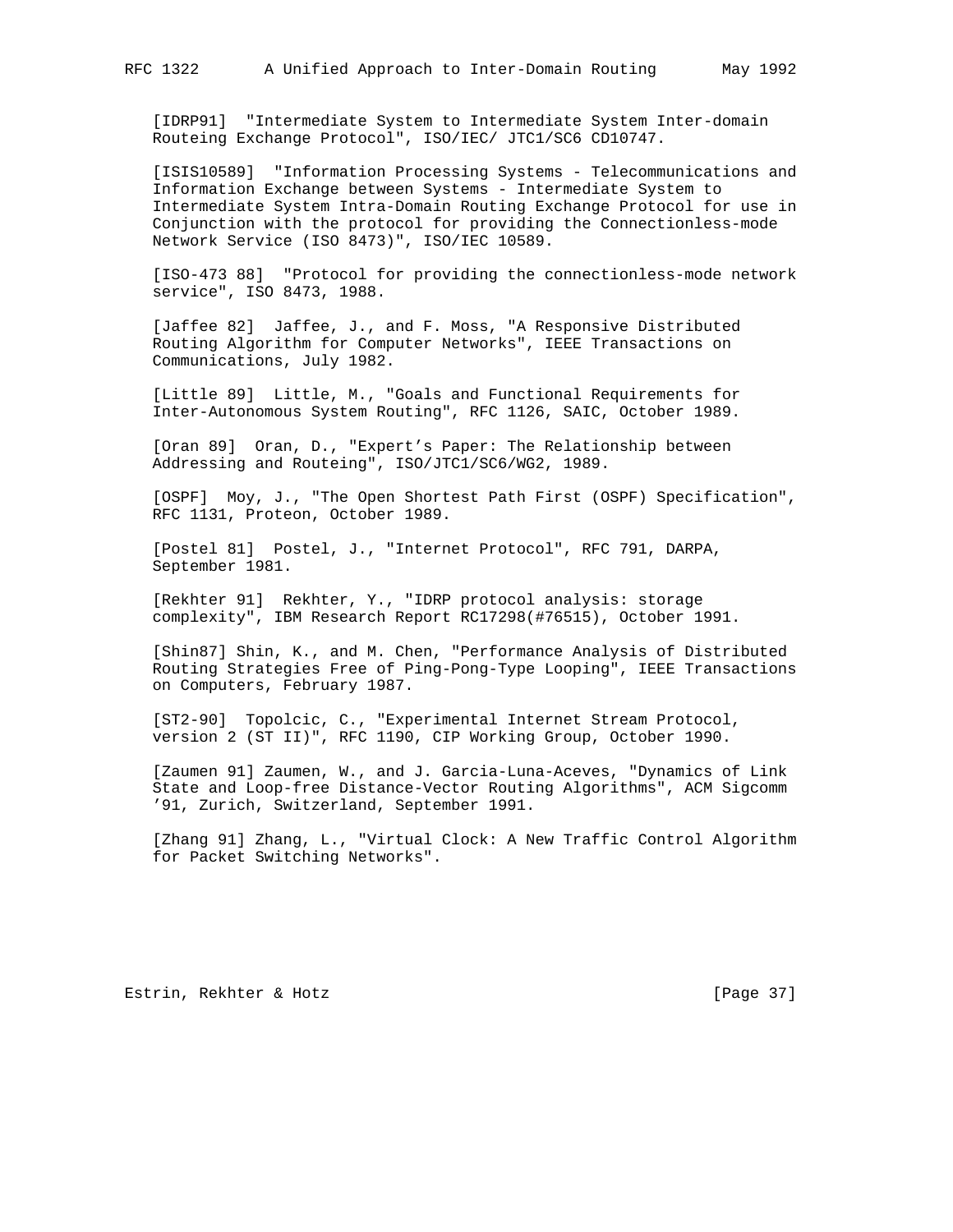[IDRP91] "Intermediate System to Intermediate System Inter-domain Routeing Exchange Protocol", ISO/IEC/ JTC1/SC6 CD10747.

 [ISIS10589] "Information Processing Systems - Telecommunications and Information Exchange between Systems - Intermediate System to Intermediate System Intra-Domain Routing Exchange Protocol for use in Conjunction with the protocol for providing the Connectionless-mode Network Service (ISO 8473)", ISO/IEC 10589.

 [ISO-473 88] "Protocol for providing the connectionless-mode network service", ISO 8473, 1988.

 [Jaffee 82] Jaffee, J., and F. Moss, "A Responsive Distributed Routing Algorithm for Computer Networks", IEEE Transactions on Communications, July 1982.

 [Little 89] Little, M., "Goals and Functional Requirements for Inter-Autonomous System Routing", RFC 1126, SAIC, October 1989.

 [Oran 89] Oran, D., "Expert's Paper: The Relationship between Addressing and Routeing", ISO/JTC1/SC6/WG2, 1989.

 [OSPF] Moy, J., "The Open Shortest Path First (OSPF) Specification", RFC 1131, Proteon, October 1989.

 [Postel 81] Postel, J., "Internet Protocol", RFC 791, DARPA, September 1981.

 [Rekhter 91] Rekhter, Y., "IDRP protocol analysis: storage complexity", IBM Research Report RC17298(#76515), October 1991.

 [Shin87] Shin, K., and M. Chen, "Performance Analysis of Distributed Routing Strategies Free of Ping-Pong-Type Looping", IEEE Transactions on Computers, February 1987.

 [ST2-90] Topolcic, C., "Experimental Internet Stream Protocol, version 2 (ST II)", RFC 1190, CIP Working Group, October 1990.

 [Zaumen 91] Zaumen, W., and J. Garcia-Luna-Aceves, "Dynamics of Link State and Loop-free Distance-Vector Routing Algorithms", ACM Sigcomm '91, Zurich, Switzerland, September 1991.

 [Zhang 91] Zhang, L., "Virtual Clock: A New Traffic Control Algorithm for Packet Switching Networks".

Estrin, Rekhter & Hotz [Page 37]